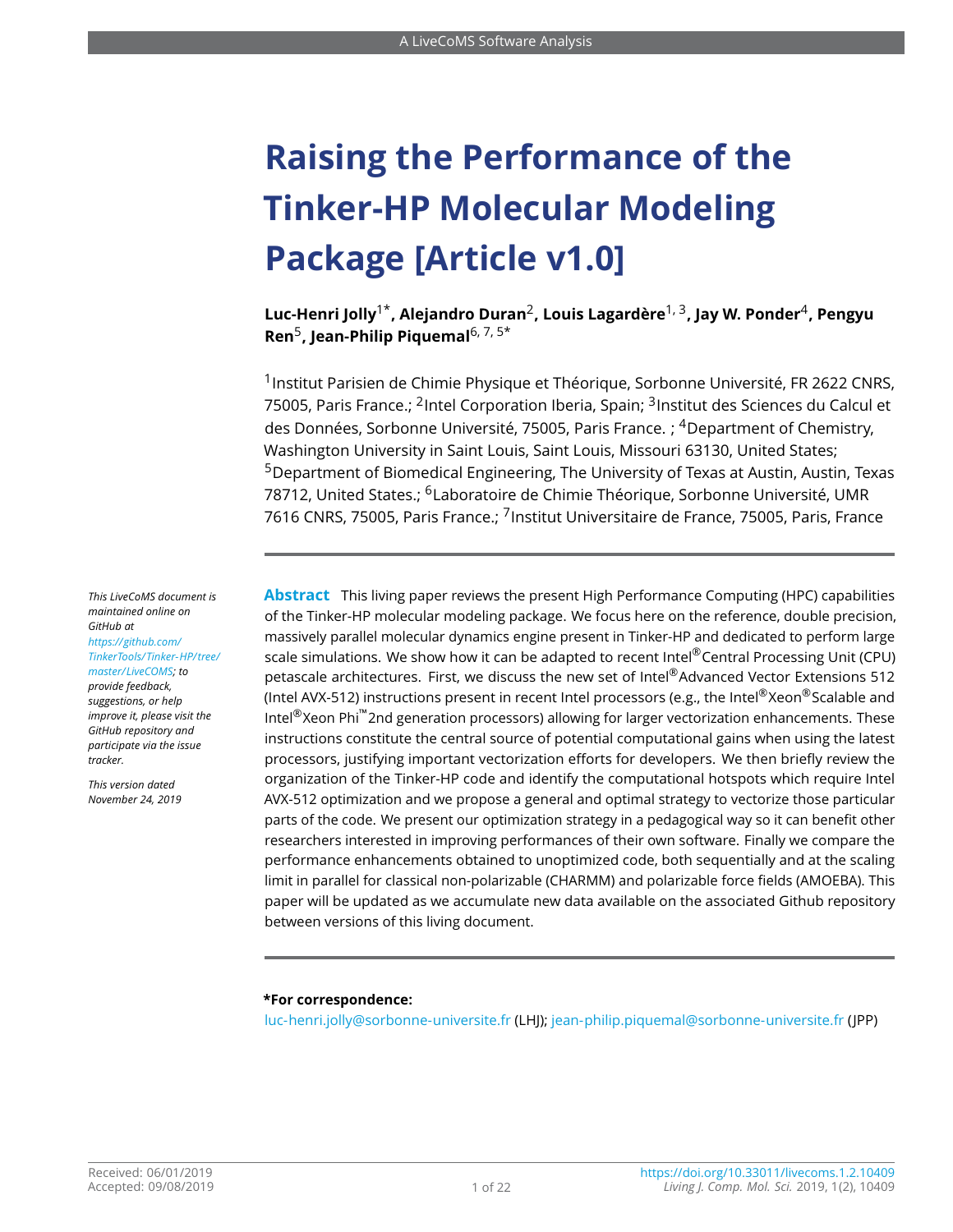# **Raising the Performance of the Tinker-HP Molecular Modeling Package [Article v1.0]**

**Luc-Henri Jolly**1\***, Alejandro Duran**<sup>2</sup> **, Louis Lagardère**1, 3**, Jay W. Ponder**<sup>4</sup> **, Pengyu Ren**<sup>5</sup> **, Jean-Philip Piquemal**6, 7, 5\*

<sup>1</sup> Institut Parisien de Chimie Physique et Théorique, Sorbonne Université, FR 2622 CNRS. 75005, Paris France.: <sup>2</sup>Intel Corporation Iberia, Spain: <sup>3</sup>Institut des Sciences du Calcul et des Données, Sorbonne Université, 75005, Paris France. ; <sup>4</sup>Department of Chemistry, Washington University in Saint Louis, Saint Louis, Missouri 63130, United States; <sup>5</sup>Department of Biomedical Engineering, The University of Texas at Austin, Austin, Texas 78712, United States.; <sup>6</sup>Laboratoire de Chimie Théorique, Sorbonne Université, UMR 7616 CNRS, 75005, Paris France.: <sup>7</sup>Institut Universitaire de France, 75005, Paris, France

**Abstract** This living paper reviews the present High Performance Computing (HPC) capabilities of the Tinker-HP molecular modeling package. We focus here on the reference, double precision, massively parallel molecular dynamics engine present in Tinker-HP and dedicated to perform large scale simulations. We show how it can be adapted to recent Intel® Central Processing Unit (CPU) petascale architectures. First, we discuss the new set of Intel®Advanced Vector Extensions 512 (Intel AVX-512) instructions present in recent Intel processors (e.g., the Intel®Xeon®Scalable and Intel®Xeon Phi™2nd generation processors) allowing for larger vectorization enhancements. These instructions constitute the central source of potential computational gains when using the latest processors, justifying important vectorization efforts for developers. We then briefly review the organization of the Tinker-HP code and identify the computational hotspots which require Intel AVX-512 optimization and we propose a general and optimal strategy to vectorize those particular parts of the code. We present our optimization strategy in a pedagogical way so it can benefit other researchers interested in improving performances of their own software. Finally we compare the performance enhancements obtained to unoptimized code, both sequentially and at the scaling limit in parallel for classical non-polarizable (CHARMM) and polarizable force fields (AMOEBA). This paper will be updated as we accumulate new data available on the associated Github repository between versions of this living document.

#### **\*For correspondence:**

<luc-henri.jolly@sorbonne-universite.fr> (LHJ); <jean-philip.piquemal@sorbonne-universite.fr> (JPP)

*This LiveCoMS document is maintained online on GitHub at [https://github.com/](https://github.com/TinkerTools/Tinker-HP/tree/master/LiveCOMS) [TinkerTools/Tinker-HP/ tree/](https://github.com/TinkerTools/Tinker-HP/tree/master/LiveCOMS) [master/LiveCOMS;](https://github.com/TinkerTools/Tinker-HP/tree/master/LiveCOMS) to*

*provide feedback, suggestions, or help improve it, please visit the GitHub repository and participate via the issue tracker.*

*This version dated November 24, 2019*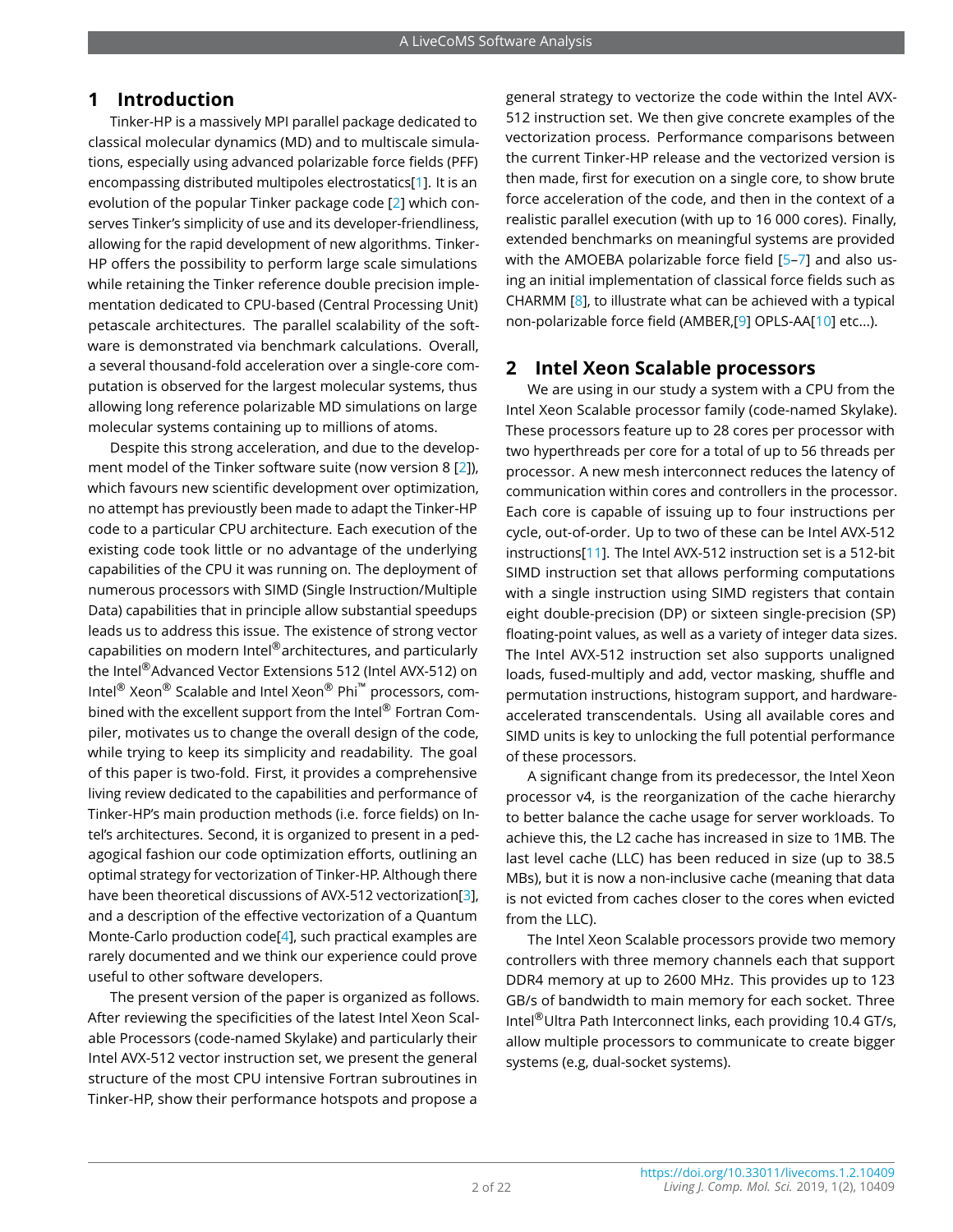## **1 Introduction**

Tinker-HP is a massively MPI parallel package dedicated to classical molecular dynamics (MD) and to multiscale simulations, especially using advanced polarizable force fields (PFF) encompassing distributed multipoles electrostatics[\[1\]](#page-17-0). It is an evolution of the popular Tinker package code [\[2\]](#page-18-0) which conserves Tinker's simplicity of use and its developer-friendliness, allowing for the rapid development of new algorithms. Tinker-HP offers the possibility to perform large scale simulations while retaining the Tinker reference double precision implementation dedicated to CPU-based (Central Processing Unit) petascale architectures. The parallel scalability of the software is demonstrated via benchmark calculations. Overall, a several thousand-fold acceleration over a single-core computation is observed for the largest molecular systems, thus allowing long reference polarizable MD simulations on large molecular systems containing up to millions of atoms.

Despite this strong acceleration, and due to the development model of the Tinker software suite (now version 8 [\[2\]](#page-18-0)), which favours new scientific development over optimization, no attempt has previoustly been made to adapt the Tinker-HP code to a particular CPU architecture. Each execution of the existing code took little or no advantage of the underlying capabilities of the CPU it was running on. The deployment of numerous processors with SIMD (Single Instruction/Multiple Data) capabilities that in principle allow substantial speedups leads us to address this issue. The existence of strong vector capabilities on modern Intel®architectures, and particularly the Intel®Advanced Vector Extensions 512 (Intel AVX-512) on Intel® Xeon® Scalable and Intel Xeon® Phi™ processors, combined with the excellent support from the Intel® Fortran Compiler, motivates us to change the overall design of the code, while trying to keep its simplicity and readability. The goal of this paper is two-fold. First, it provides a comprehensive living review dedicated to the capabilities and performance of Tinker-HP's main production methods (i.e. force fields) on Intel's architectures. Second, it is organized to present in a pedagogical fashion our code optimization efforts, outlining an optimal strategy for vectorization of Tinker-HP. Although there have been theoretical discussions of AVX-512 vectorization[\[3\]](#page-18-1). and a description of the effective vectorization of a Quantum Monte-Carlo production code[\[4\]](#page-18-2), such practical examples are rarely documented and we think our experience could prove useful to other software developers.

The present version of the paper is organized as follows. After reviewing the specificities of the latest Intel Xeon Scalable Processors (code-named Skylake) and particularly their Intel AVX-512 vector instruction set, we present the general structure of the most CPU intensive Fortran subroutines in Tinker-HP, show their performance hotspots and propose a

general strategy to vectorize the code within the Intel AVX-512 instruction set. We then give concrete examples of the vectorization process. Performance comparisons between the current Tinker-HP release and the vectorized version is then made, first for execution on a single core, to show brute force acceleration of the code, and then in the context of a realistic parallel execution (with up to 16 000 cores). Finally, extended benchmarks on meaningful systems are provided with the AMOEBA polarizable force field [\[5](#page-18-3)-7] and also using an initial implementation of classical force fields such as CHARMM [\[8\]](#page-18-5), to illustrate what can be achieved with a typical non-polarizable force field (AMBER,[\[9\]](#page-18-6) OPLS-AA[\[10\]](#page-18-7) etc...).

## **2 Intel Xeon Scalable processors**

We are using in our study a system with a CPU from the Intel Xeon Scalable processor family (code-named Skylake). These processors feature up to 28 cores per processor with two hyperthreads per core for a total of up to 56 threads per processor. A new mesh interconnect reduces the latency of communication within cores and controllers in the processor. Each core is capable of issuing up to four instructions per cycle, out-of-order. Up to two of these can be Intel AVX-512 instructions[\[11\]](#page-18-8). The Intel AVX-512 instruction set is a 512-bit SIMD instruction set that allows performing computations with a single instruction using SIMD registers that contain eight double-precision (DP) or sixteen single-precision (SP) floating-point values, as well as a variety of integer data sizes. The Intel AVX-512 instruction set also supports unaligned loads, fused-multiply and add, vector masking, shuffle and permutation instructions, histogram support, and hardwareaccelerated transcendentals. Using all available cores and SIMD units is key to unlocking the full potential performance of these processors.

A significant change from its predecessor, the Intel Xeon processor v4, is the reorganization of the cache hierarchy to better balance the cache usage for server workloads. To achieve this, the L2 cache has increased in size to 1MB. The last level cache (LLC) has been reduced in size (up to 38.5 MBs), but it is now a non-inclusive cache (meaning that data is not evicted from caches closer to the cores when evicted from the LLC).

The Intel Xeon Scalable processors provide two memory controllers with three memory channels each that support DDR4 memory at up to 2600 MHz. This provides up to 123 GB/s of bandwidth to main memory for each socket. Three Intel®Ultra Path Interconnect links, each providing 10.4 GT/s, allow multiple processors to communicate to create bigger systems (e.g, dual-socket systems).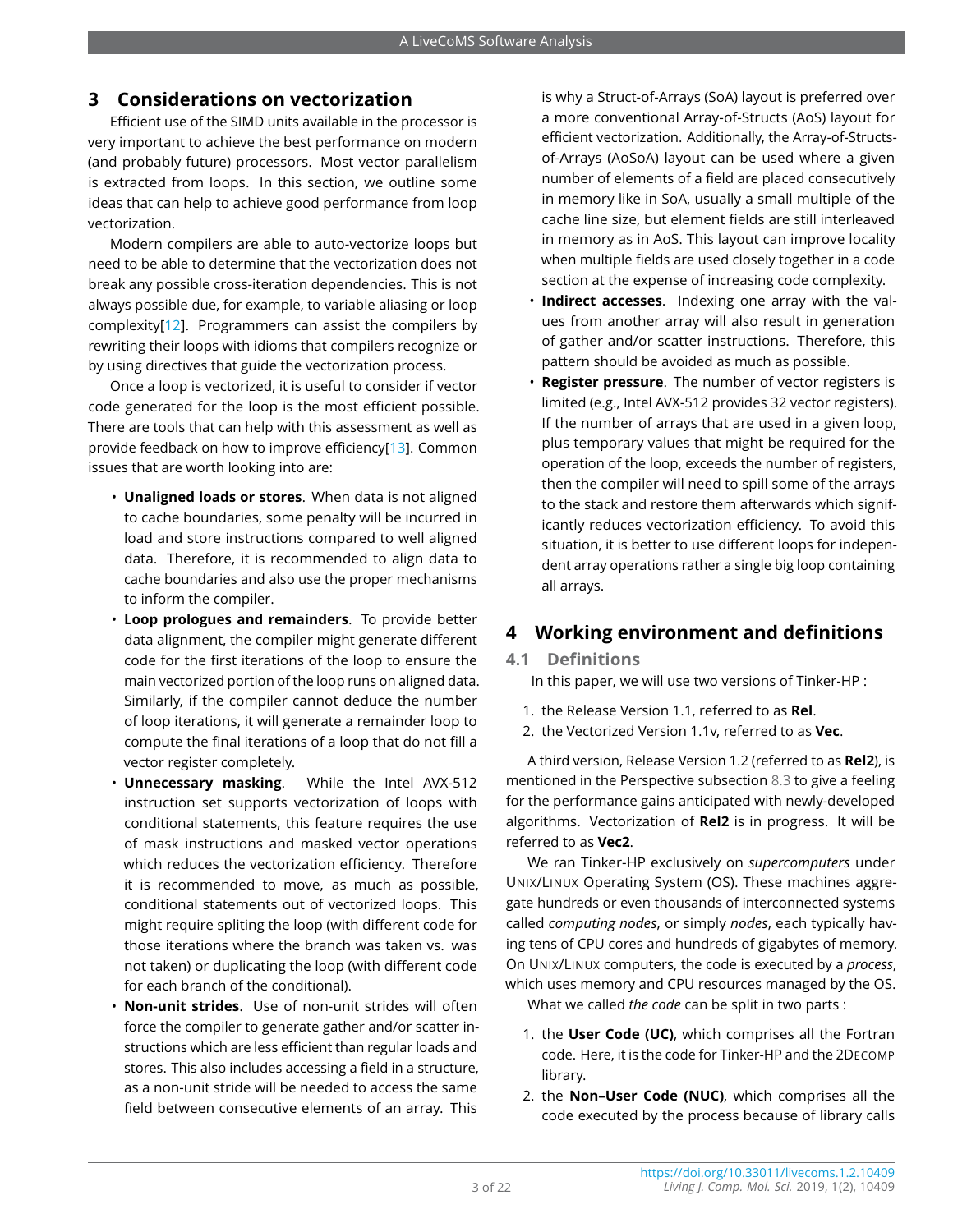## <span id="page-2-0"></span>**3 Considerations on vectorization**

Efficient use of the SIMD units available in the processor is very important to achieve the best performance on modern (and probably future) processors. Most vector parallelism is extracted from loops. In this section, we outline some ideas that can help to achieve good performance from loop vectorization.

Modern compilers are able to auto-vectorize loops but need to be able to determine that the vectorization does not break any possible cross-iteration dependencies. This is not always possible due, for example, to variable aliasing or loop complexity[\[12\]](#page-18-9). Programmers can assist the compilers by rewriting their loops with idioms that compilers recognize or by using directives that guide the vectorization process.

Once a loop is vectorized, it is useful to consider if vector code generated for the loop is the most efficient possible. There are tools that can help with this assessment as well as provide feedback on how to improve efficiency[\[13\]](#page-18-10). Common issues that are worth looking into are:

- **Unaligned loads or stores**. When data is not aligned to cache boundaries, some penalty will be incurred in load and store instructions compared to well aligned data. Therefore, it is recommended to align data to cache boundaries and also use the proper mechanisms to inform the compiler.
- **Loop prologues and remainders**. To provide better data alignment, the compiler might generate different code for the first iterations of the loop to ensure the main vectorized portion of the loop runs on aligned data. Similarly, if the compiler cannot deduce the number of loop iterations, it will generate a remainder loop to compute the final iterations of a loop that do not fill a vector register completely.
- **Unnecessary masking**. While the Intel AVX-512 instruction set supports vectorization of loops with conditional statements, this feature requires the use of mask instructions and masked vector operations which reduces the vectorization efficiency. Therefore it is recommended to move, as much as possible, conditional statements out of vectorized loops. This might require spliting the loop (with different code for those iterations where the branch was taken vs. was not taken) or duplicating the loop (with different code for each branch of the conditional).
- **Non-unit strides**. Use of non-unit strides will often force the compiler to generate gather and/or scatter instructions which are less efficient than regular loads and stores. This also includes accessing a field in a structure, as a non-unit stride will be needed to access the same field between consecutive elements of an array. This

is why a Struct-of-Arrays (SoA) layout is preferred over a more conventional Array-of-Structs (AoS) layout for efficient vectorization. Additionally, the Array-of-Structsof-Arrays (AoSoA) layout can be used where a given number of elements of a field are placed consecutively in memory like in SoA, usually a small multiple of the cache line size, but element fields are still interleaved in memory as in AoS. This layout can improve locality when multiple fields are used closely together in a code section at the expense of increasing code complexity.

- **Indirect accesses**. Indexing one array with the values from another array will also result in generation of gather and/or scatter instructions. Therefore, this pattern should be avoided as much as possible.
- **Register pressure**. The number of vector registers is limited (e.g., Intel AVX-512 provides 32 vector registers). If the number of arrays that are used in a given loop, plus temporary values that might be required for the operation of the loop, exceeds the number of registers, then the compiler will need to spill some of the arrays to the stack and restore them afterwards which significantly reduces vectorization efficiency. To avoid this situation, it is better to use different loops for independent array operations rather a single big loop containing all arrays.

## **4 Working environment and definitions**

## **4.1 Definitions**

In this paper, we will use two versions of Tinker-HP :

- 1. the Release Version 1.1, referred to as **Rel**.
- 2. the Vectorized Version 1.1v, referred to as **Vec**.

A third version, Release Version 1.2 (referred to as **Rel2**), is mentioned in the Perspective subsection [8.3](#page-15-0) to give a feeling for the performance gains anticipated with newly-developed algorithms. Vectorization of **Rel2** is in progress. It will be referred to as **Vec2**.

We ran Tinker-HP exclusively on *supercomputers* under UNIX/LINUX Operating System (OS). These machines aggregate hundreds or even thousands of interconnected systems called *computing nodes*, or simply *nodes*, each typically having tens of CPU cores and hundreds of gigabytes of memory. On UNIX/LINUX computers, the code is executed by a *process*, which uses memory and CPU resources managed by the OS.

What we called *the code* can be split in two parts :

- 1. the **User Code (UC)**, which comprises all the Fortran code. Here, it is the code for Tinker-HP and the 2DECOMP library.
- 2. the **Non–User Code (NUC)**, which comprises all the code executed by the process because of library calls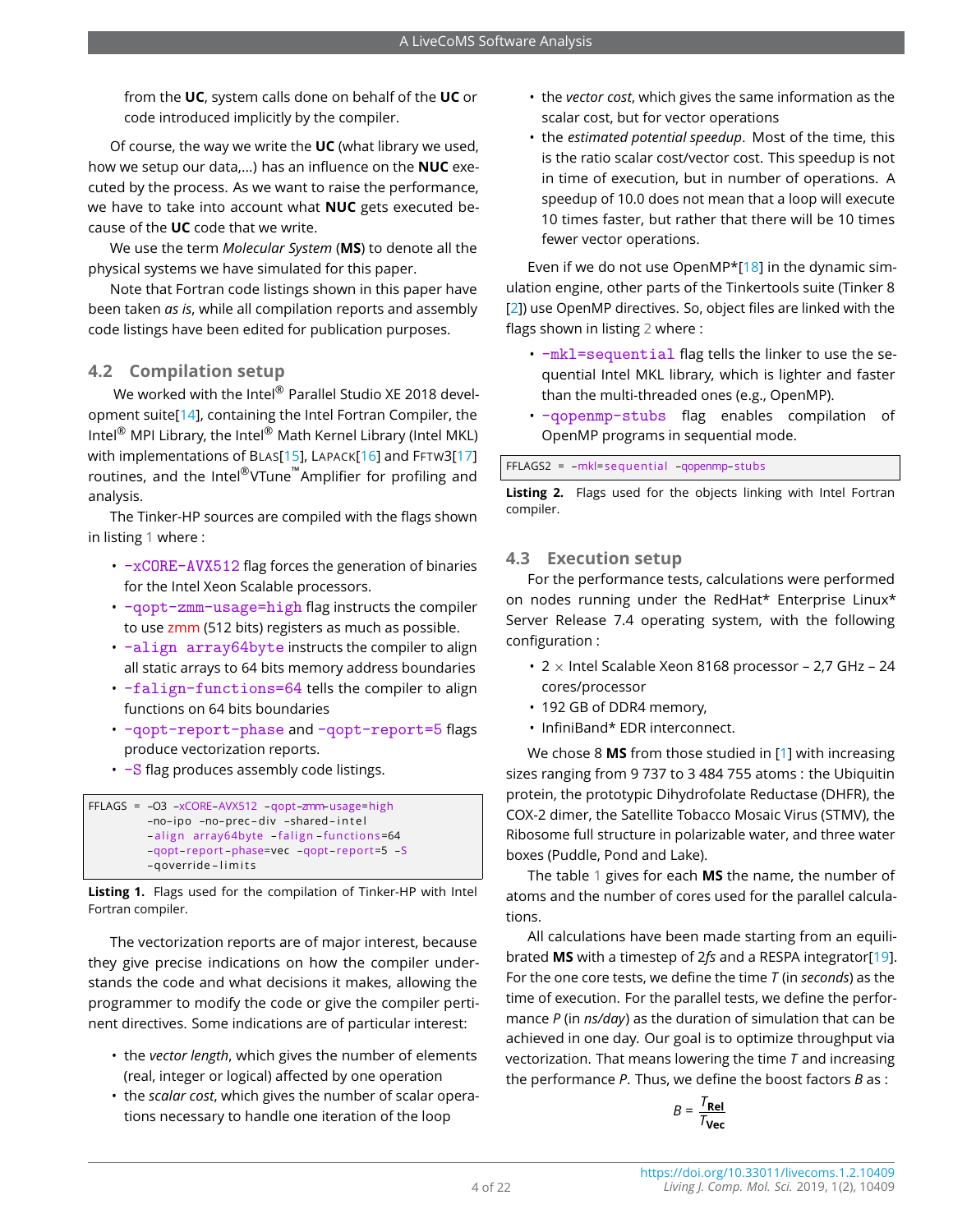from the **UC**, system calls done on behalf of the **UC** or code introduced implicitly by the compiler.

Of course, the way we write the **UC** (what library we used, how we setup our data,...) has an influence on the **NUC** executed by the process. As we want to raise the performance, we have to take into account what **NUC** gets executed because of the **UC** code that we write.

We use the term *Molecular System* (**MS**) to denote all the physical systems we have simulated for this paper.

Note that Fortran code listings shown in this paper have been taken *as is*, while all compilation reports and assembly code listings have been edited for publication purposes.

## **4.2 Compilation setup**

We worked with the Intel® Parallel Studio XE 2018 development suite[\[14\]](#page-18-11), containing the Intel Fortran Compiler, the Intel® MPI Library, the Intel® Math Kernel Library (Intel MKL) with implementations of BLAS[\[15\]](#page-18-12), LAPACK[\[16\]](#page-18-13) and FFTW3[\[17\]](#page-18-14) routines, and the Intel®VTune™Amplifier for profiling and analysis.

The Tinker-HP sources are compiled with the flags shown in listing [1](#page-3-0) where :

- $\cdot$  -xCORE-AVX512 flag forces the generation of binaries for the Intel Xeon Scalable processors.
- -qopt-zmm-usage=high flag instructs the compiler to use zmm (512 bits) registers as much as possible.
- -align array64byte instructs the compiler to align all static arrays to 64 bits memory address boundaries
- -falign-functions=64 tells the compiler to align functions on 64 bits boundaries
- -qopt-report-phase and -qopt-report=5 flags produce vectorization reports.
- $\cdot$  -S flag produces assembly code listings.

```
FFLAGS = –O3 –xCORE–AVX512 –qopt–zmm–usage=high
         -no-ipo -no-prec-div -shared-intel
         -align array64byte -falign-functions=64
         –qopt– report –phase=vec –qopt– repor t=5 –S
         -qoverride-limits
```
**Listing 1.** Flags used for the compilation of Tinker-HP with Intel Fortran compiler.

The vectorization reports are of major interest, because they give precise indications on how the compiler understands the code and what decisions it makes, allowing the programmer to modify the code or give the compiler pertinent directives. Some indications are of particular interest:

- the *vector length*, which gives the number of elements (real, integer or logical) affected by one operation
- the *scalar cost*, which gives the number of scalar operations necessary to handle one iteration of the loop
- the *vector cost*, which gives the same information as the scalar cost, but for vector operations
- the *estimated potential speedup*. Most of the time, this is the ratio scalar cost/vector cost. This speedup is not in time of execution, but in number of operations. A speedup of 10.0 does not mean that a loop will execute 10 times faster, but rather that there will be 10 times fewer vector operations.

Even if we do not use OpenMP\*[\[18\]](#page-18-15) in the dynamic simulation engine, other parts of the Tinkertools suite (Tinker 8 [\[2\]](#page-18-0)) use OpenMP directives. So, object files are linked with the flags shown in listing [2](#page-3-1) where :

- -mkl=sequential flag tells the linker to use the sequential Intel MKL library, which is lighter and faster than the multi-threaded ones (e.g., OpenMP).
- -qopenmp-stubs flag enables compilation of OpenMP programs in sequential mode.

<span id="page-3-1"></span>FFLAGS2 = - mkl=sequential - qopenmp-stubs

**Listing 2.** Flags used for the objects linking with Intel Fortran compiler.

## **4.3 Execution setup**

For the performance tests, calculations were performed on nodes running under the RedHat\* Enterprise Linux\* Server Release 7.4 operating system, with the following configuration :

- $2 \times$  Intel Scalable Xeon 8168 processor 2,7 GHz 24 cores/processor
- 192 GB of DDR4 memory,
- InfiniBand\* EDR interconnect.

We chose 8 **MS** from those studied in [\[1\]](#page-17-0) with increasing sizes ranging from 9 737 to 3 484 755 atoms : the Ubiquitin protein, the prototypic Dihydrofolate Reductase (DHFR), the COX-2 dimer, the Satellite Tobacco Mosaic Virus (STMV), the Ribosome full structure in polarizable water, and three water boxes (Puddle, Pond and Lake).

The table [1](#page-4-0) gives for each **MS** the name, the number of atoms and the number of cores used for the parallel calculations.

All calculations have been made starting from an equilibrated **MS** with a timestep of 2*fs* and a RESPA integrator[\[19\]](#page-18-16). For the one core tests, we define the time *T* (in *seconds*) as the time of execution. For the parallel tests, we define the performance *P* (in *ns/day*) as the duration of simulation that can be achieved in one day. Our goal is to optimize throughput via vectorization. That means lowering the time *T* and increasing the performance *P*. Thus, we define the boost factors *B* as :

$$
B = \frac{T_{\text{Rel}}}{T_{\text{Vec}}}
$$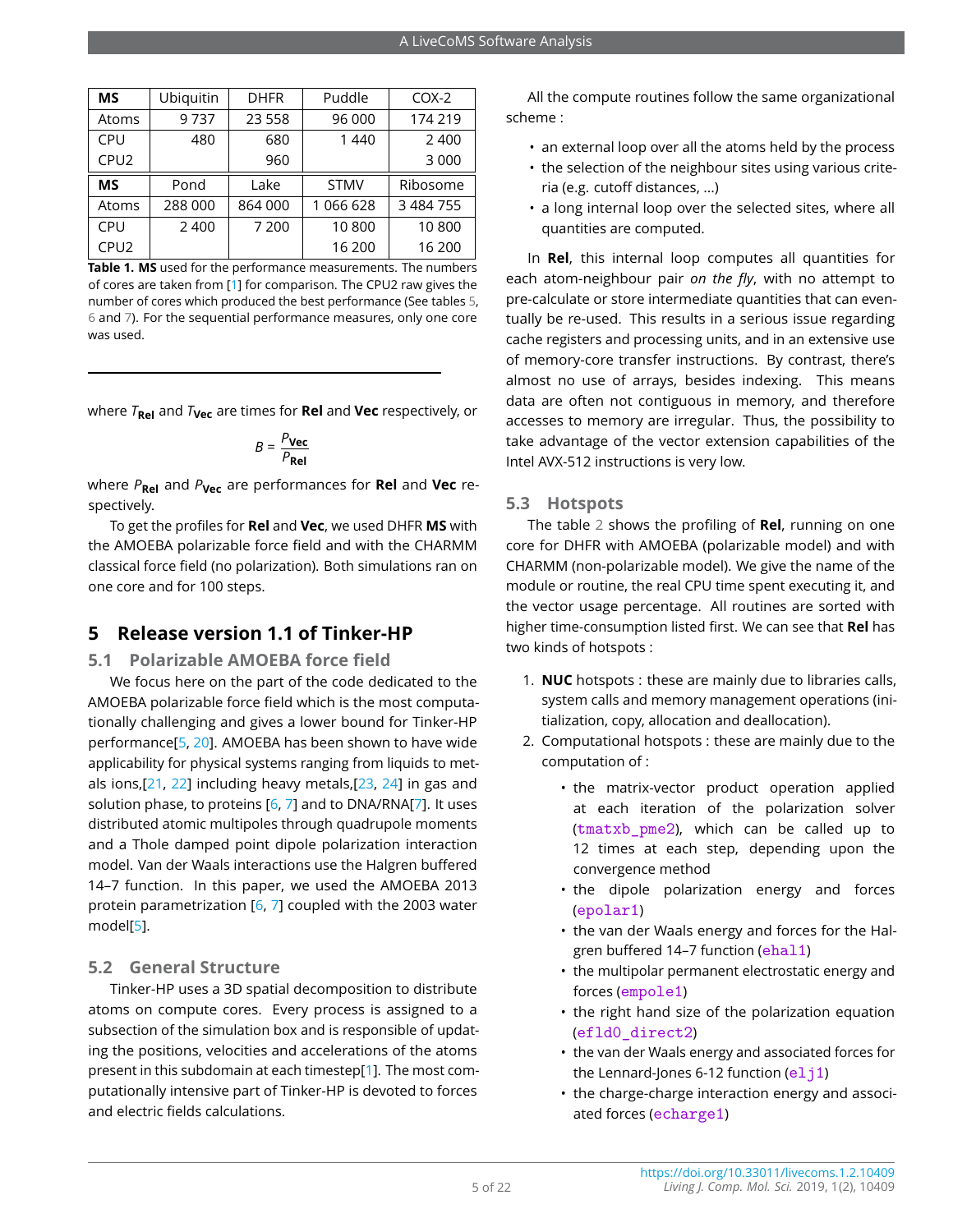<span id="page-4-0"></span>

| MS               | Ubiquitin | <b>DHFR</b> | Puddle      | $COX-2$       |
|------------------|-----------|-------------|-------------|---------------|
| Atoms            | 9737      | 23 5 5 8    | 96 000      | 174 219       |
| <b>CPU</b>       | 480       | 680         | 1440        | 2400          |
| CPU <sub>2</sub> |           | 960         |             | 3 0 0 0       |
|                  |           |             |             |               |
| <b>MS</b>        | Pond      | Lake        | <b>STMV</b> | Ribosome      |
| Atoms            | 288 000   | 864 000     | 1 066 628   | 3 4 8 4 7 5 5 |
| CPU              | 2 4 0 0   | 7 200       | 10800       | 10800         |

**Table 1. MS** used for the performance measurements. The numbers of cores are taken from [\[1\]](#page-17-0) for comparison. The CPU2 raw gives the number of cores which produced the best performance (See tables [5,](#page-14-0) [6](#page-14-1) and [7\)](#page-16-0). For the sequential performance measures, only one core was used.

where *T***Rel** and *T***Vec** are times for **Rel** and **Vec** respectively, or

$$
B = \frac{P_{\text{Vec}}}{P_{\text{Rel}}}
$$

where *P***Rel** and *P***Vec** are performances for **Rel** and **Vec** respectively.

To get the profiles for **Rel** and **Vec**, we used DHFR **MS** with the AMOEBA polarizable force field and with the CHARMM classical force field (no polarization). Both simulations ran on one core and for 100 steps.

## **5 Release version 1.1 of Tinker-HP**

#### **5.1 Polarizable AMOEBA force field**

We focus here on the part of the code dedicated to the AMOEBA polarizable force field which is the most computationally challenging and gives a lower bound for Tinker-HP performance[\[5,](#page-18-3) [20\]](#page-18-17). AMOEBA has been shown to have wide applicability for physical systems ranging from liquids to metals ions,[\[21,](#page-18-18) [22\]](#page-18-19) including heavy metals,[\[23,](#page-18-20) [24\]](#page-18-21) in gas and solution phase, to proteins  $[6, 7]$  $[6, 7]$  $[6, 7]$  and to DNA/RNA[\[7\]](#page-18-4). It uses distributed atomic multipoles through quadrupole moments and a Thole damped point dipole polarization interaction model. Van der Waals interactions use the Halgren buffered 14–7 function. In this paper, we used the AMOEBA 2013 protein parametrization [\[6,](#page-18-22) [7\]](#page-18-4) coupled with the 2003 water model[\[5\]](#page-18-3).

#### **5.2 General Structure**

Tinker-HP uses a 3D spatial decomposition to distribute atoms on compute cores. Every process is assigned to a subsection of the simulation box and is responsible of updating the positions, velocities and accelerations of the atoms present in this subdomain at each timestep[\[1\]](#page-17-0). The most computationally intensive part of Tinker-HP is devoted to forces and electric fields calculations.

All the compute routines follow the same organizational scheme :

- an external loop over all the atoms held by the process
- the selection of the neighbour sites using various criteria (e.g. cutoff distances, ...)
- a long internal loop over the selected sites, where all quantities are computed.

In **Rel**, this internal loop computes all quantities for each atom-neighbour pair *on the fly*, with no attempt to pre-calculate or store intermediate quantities that can eventually be re-used. This results in a serious issue regarding cache registers and processing units, and in an extensive use of memory-core transfer instructions. By contrast, there's almost no use of arrays, besides indexing. This means data are often not contiguous in memory, and therefore accesses to memory are irregular. Thus, the possibility to take advantage of the vector extension capabilities of the Intel AVX-512 instructions is very low.

## **5.3 Hotspots**

The table [2](#page-5-0) shows the profiling of **Rel**, running on one core for DHFR with AMOEBA (polarizable model) and with CHARMM (non-polarizable model). We give the name of the module or routine, the real CPU time spent executing it, and the vector usage percentage. All routines are sorted with higher time-consumption listed first. We can see that **Rel** has two kinds of hotspots :

- 1. **NUC** hotspots : these are mainly due to libraries calls, system calls and memory management operations (initialization, copy, allocation and deallocation).
- 2. Computational hotspots : these are mainly due to the computation of :
	- the matrix-vector product operation applied at each iteration of the polarization solver (tmatxb\_pme2), which can be called up to 12 times at each step, depending upon the convergence method
	- the dipole polarization energy and forces (epolar1)
	- the van der Waals energy and forces for the Halgren buffered 14–7 function (ehal1)
	- the multipolar permanent electrostatic energy and forces (empole1)
	- the right hand size of the polarization equation (efld0\_direct2)
	- the van der Waals energy and associated forces for the Lennard-Jones 6-12 function  $(elji)$
	- the charge-charge interaction energy and associated forces (echarge1)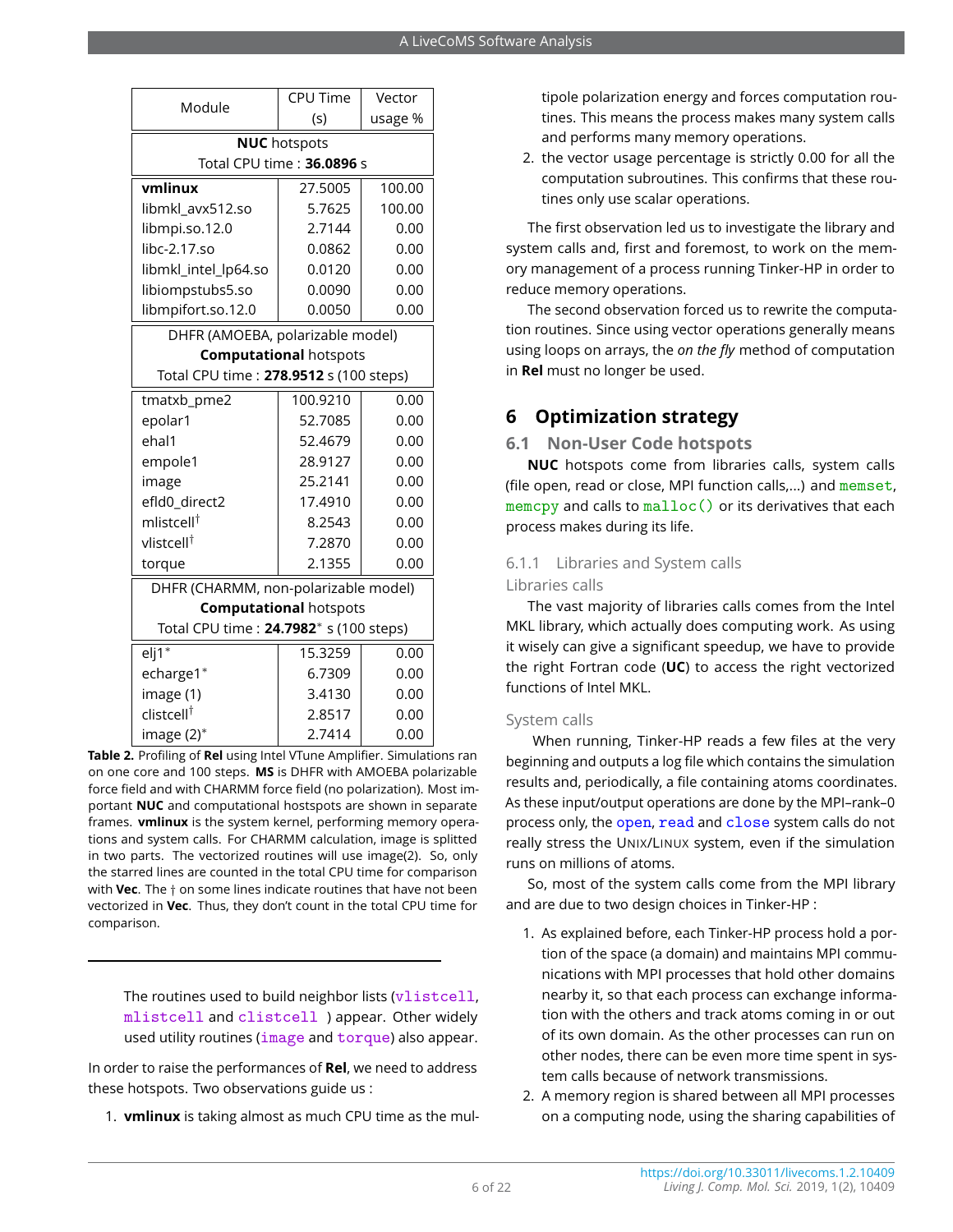<span id="page-5-0"></span>

|                                                    | <b>CPU Time</b>               | Vector  |  |  |  |  |
|----------------------------------------------------|-------------------------------|---------|--|--|--|--|
| Module                                             | (s)                           | usage % |  |  |  |  |
|                                                    | <b>NUC</b> hotspots           |         |  |  |  |  |
| Total CPU time: 36.0896 s                          |                               |         |  |  |  |  |
| vmlinux                                            | 27.5005                       | 100.00  |  |  |  |  |
| libmkl_avx512.so                                   | 5.7625                        | 100.00  |  |  |  |  |
| libmpi.so.12.0                                     | 2.7144                        | 0.00    |  |  |  |  |
| libc-2.17.so                                       | 0.0862                        | 0.00    |  |  |  |  |
| libmkl_intel_lp64.so                               | 0.0120                        | 0.00    |  |  |  |  |
| libiompstubs5.so                                   | 0.0090                        | 0.00    |  |  |  |  |
| libmpifort.so.12.0                                 | 0.0050                        | 0.00    |  |  |  |  |
| DHFR (AMOEBA, polarizable model)                   |                               |         |  |  |  |  |
|                                                    | <b>Computational hotspots</b> |         |  |  |  |  |
| Total CPU time: 278.9512 s (100 steps)             |                               |         |  |  |  |  |
| tmatxb_pme2                                        | 100.9210                      | 0.00    |  |  |  |  |
| epolar1                                            | 52.7085                       | 0.00    |  |  |  |  |
| ehal1                                              | 52.4679                       | 0.00    |  |  |  |  |
| empole1                                            | 28.9127                       | 0.00    |  |  |  |  |
| image                                              | 25.2141                       | 0.00    |  |  |  |  |
| efld0_direct2                                      | 17.4910                       | 0.00    |  |  |  |  |
| mlistcell $^\dagger$                               | 8.2543                        | 0.00    |  |  |  |  |
| vlistcell <sup>†</sup>                             | 7.2870                        | 0.00    |  |  |  |  |
| torque                                             | 2.1355                        | 0.00    |  |  |  |  |
| DHFR (CHARMM, non-polarizable model)               |                               |         |  |  |  |  |
|                                                    | <b>Computational hotspots</b> |         |  |  |  |  |
| Total CPU time: 24.7982 <sup>*</sup> s (100 steps) |                               |         |  |  |  |  |
| $eli1*$                                            | 15.3259                       | 0.00    |  |  |  |  |
| echarge1*                                          | 6.7309                        | 0.00    |  |  |  |  |
| image (1)                                          | 3.4130                        | 0.00    |  |  |  |  |
| clistcell <sup>†</sup>                             | 2.8517                        | 0.00    |  |  |  |  |
| image (2)*                                         | 2.7414                        | 0.00    |  |  |  |  |

**Table 2.** Profiling of **Rel** using Intel VTune Amplifier. Simulations ran on one core and 100 steps. **MS** is DHFR with AMOEBA polarizable force field and with CHARMM force field (no polarization). Most important **NUC** and computational hostspots are shown in separate frames. **vmlinux** is the system kernel, performing memory operations and system calls. For CHARMM calculation, image is splitted in two parts. The vectorized routines will use image(2). So, only the starred lines are counted in the total CPU time for comparison with **Vec**. The † on some lines indicate routines that have not been vectorized in **Vec**. Thus, they don't count in the total CPU time for comparison.

The routines used to build neighbor lists (vlistcell, mlistcell and clistcell ) appear. Other widely used utility routines (image and torque) also appear.

In order to raise the performances of **Rel**, we need to address these hotspots. Two observations guide us :

1. **vmlinux** is taking almost as much CPU time as the mul-

tipole polarization energy and forces computation routines. This means the process makes many system calls and performs many memory operations.

2. the vector usage percentage is strictly 0.00 for all the computation subroutines. This confirms that these routines only use scalar operations.

The first observation led us to investigate the library and system calls and, first and foremost, to work on the memory management of a process running Tinker-HP in order to reduce memory operations.

The second observation forced us to rewrite the computation routines. Since using vector operations generally means using loops on arrays, the *on the fly* method of computation in **Rel** must no longer be used.

## **6 Optimization strategy**

## **6.1 Non-User Code hotspots**

**NUC** hotspots come from libraries calls, system calls (file open, read or close, MPI function calls,...) and memset, memcpy and calls to malloc() or its derivatives that each process makes during its life.

## 6.1.1 Libraries and System calls Libraries calls

The vast majority of libraries calls comes from the Intel MKL library, which actually does computing work. As using it wisely can give a significant speedup, we have to provide the right Fortran code (**UC**) to access the right vectorized functions of Intel MKL.

#### System calls

When running, Tinker-HP reads a few files at the very beginning and outputs a log file which contains the simulation results and, periodically, a file containing atoms coordinates. As these input/output operations are done by the MPI–rank–0 process only, the open, read and close system calls do not really stress the UNIX/LINUX system, even if the simulation runs on millions of atoms.

So, most of the system calls come from the MPI library and are due to two design choices in Tinker-HP :

- 1. As explained before, each Tinker-HP process hold a portion of the space (a domain) and maintains MPI communications with MPI processes that hold other domains nearby it, so that each process can exchange information with the others and track atoms coming in or out of its own domain. As the other processes can run on other nodes, there can be even more time spent in system calls because of network transmissions.
- 2. A memory region is shared between all MPI processes on a computing node, using the sharing capabilities of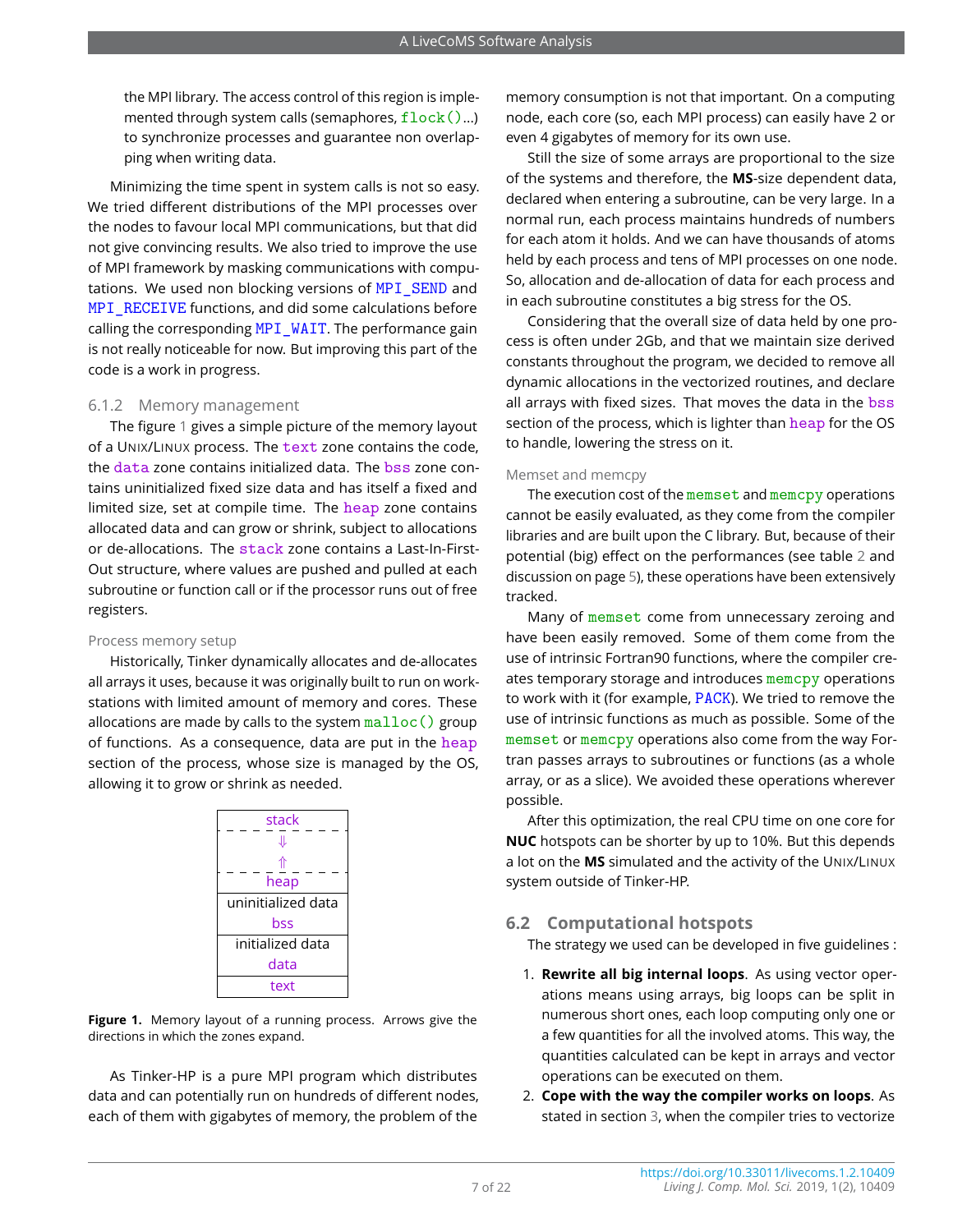the MPI library. The access control of this region is implemented through system calls (semaphores,  $flock( ) ...$ ) to synchronize processes and guarantee non overlapping when writing data.

Minimizing the time spent in system calls is not so easy. We tried different distributions of the MPI processes over the nodes to favour local MPI communications, but that did not give convincing results. We also tried to improve the use of MPI framework by masking communications with computations. We used non blocking versions of MPI\_SEND and MPI\_RECEIVE functions, and did some calculations before calling the corresponding MPI\_WAIT. The performance gain is not really noticeable for now. But improving this part of the code is a work in progress.

#### 6.1.2 Memory management

The figure [1](#page-6-0) gives a simple picture of the memory layout of a UNIX/LINUX process. The text zone contains the code, the data zone contains initialized data. The bss zone contains uninitialized fixed size data and has itself a fixed and limited size, set at compile time. The heap zone contains allocated data and can grow or shrink, subject to allocations or de-allocations. The stack zone contains a Last-In-First-Out structure, where values are pushed and pulled at each subroutine or function call or if the processor runs out of free registers.

#### Process memory setup

Historically, Tinker dynamically allocates and de-allocates all arrays it uses, because it was originally built to run on workstations with limited amount of memory and cores. These allocations are made by calls to the system  $\text{malloc}()$  group of functions. As a consequence, data are put in the heap section of the process, whose size is managed by the OS, allowing it to grow or shrink as needed.

<span id="page-6-0"></span>

| stack<br>⇓         |
|--------------------|
| ⇑<br>heap          |
| uninitialized data |
| bss                |
| initialized data   |
| data               |
| text               |

**Figure 1.** Memory layout of a running process. Arrows give the directions in which the zones expand.

As Tinker-HP is a pure MPI program which distributes data and can potentially run on hundreds of different nodes, each of them with gigabytes of memory, the problem of the

memory consumption is not that important. On a computing node, each core (so, each MPI process) can easily have 2 or even 4 gigabytes of memory for its own use.

Still the size of some arrays are proportional to the size of the systems and therefore, the **MS**-size dependent data, declared when entering a subroutine, can be very large. In a normal run, each process maintains hundreds of numbers for each atom it holds. And we can have thousands of atoms held by each process and tens of MPI processes on one node. So, allocation and de-allocation of data for each process and in each subroutine constitutes a big stress for the OS.

Considering that the overall size of data held by one process is often under 2Gb, and that we maintain size derived constants throughout the program, we decided to remove all dynamic allocations in the vectorized routines, and declare all arrays with fixed sizes. That moves the data in the bss section of the process, which is lighter than heap for the OS to handle, lowering the stress on it.

#### Memset and memcpy

The execution cost of the memset and memcpy operations cannot be easily evaluated, as they come from the compiler libraries and are built upon the C library. But, because of their potential (big) effect on the performances (see table [2](#page-5-0) and discussion on page [5\)](#page-5-0), these operations have been extensively tracked.

Many of memset come from unnecessary zeroing and have been easily removed. Some of them come from the use of intrinsic Fortran90 functions, where the compiler creates temporary storage and introduces memcpy operations to work with it (for example, PACK). We tried to remove the use of intrinsic functions as much as possible. Some of the memset or memcpy operations also come from the way Fortran passes arrays to subroutines or functions (as a whole array, or as a slice). We avoided these operations wherever possible.

After this optimization, the real CPU time on one core for **NUC** hotspots can be shorter by up to 10%. But this depends a lot on the **MS** simulated and the activity of the UNIX/LINUX system outside of Tinker-HP.

#### **6.2 Computational hotspots**

The strategy we used can be developed in five guidelines :

- 1. **Rewrite all big internal loops**. As using vector operations means using arrays, big loops can be split in numerous short ones, each loop computing only one or a few quantities for all the involved atoms. This way, the quantities calculated can be kept in arrays and vector operations can be executed on them.
- 2. **Cope with the way the compiler works on loops**. As stated in section [3,](#page-2-0) when the compiler tries to vectorize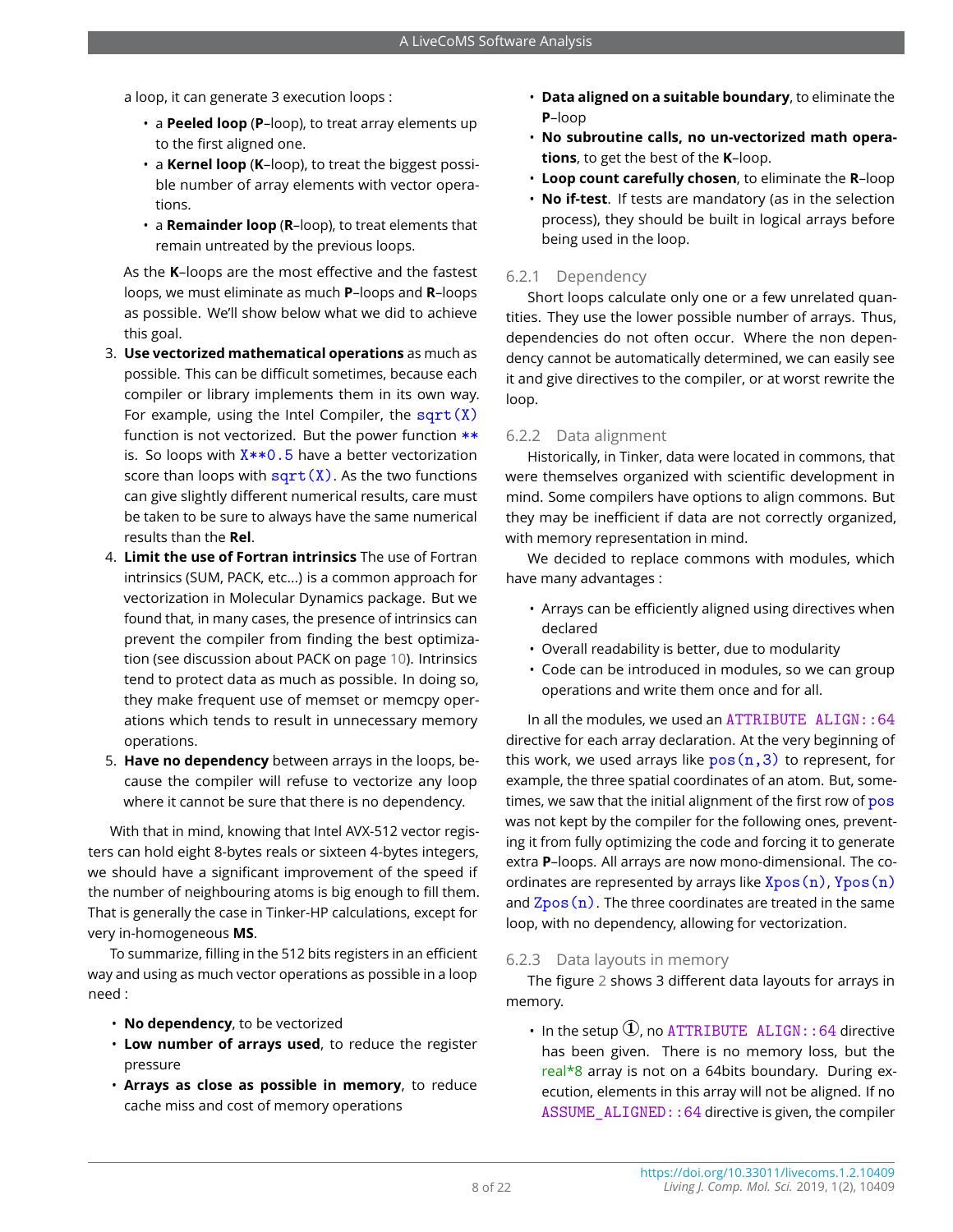a loop, it can generate 3 execution loops :

- a **Peeled loop** (**P**–loop), to treat array elements up to the first aligned one.
- a **Kernel loop** (**K**–loop), to treat the biggest possible number of array elements with vector operations.
- a **Remainder loop** (**R**–loop), to treat elements that remain untreated by the previous loops.

As the **K**–loops are the most effective and the fastest loops, we must eliminate as much **P**–loops and **R**–loops as possible. We'll show below what we did to achieve this goal.

- 3. **Use vectorized mathematical operations** as much as possible. This can be difficult sometimes, because each compiler or library implements them in its own way. For example, using the Intel Compiler, the  $sart(X)$ function is not vectorized. But the power function  $**$ is. So loops with  $X^{**}0.5$  have a better vectorization score than loops with  $sqrt(X)$ . As the two functions can give slightly different numerical results, care must be taken to be sure to always have the same numerical results than the **Rel**.
- 4. **Limit the use of Fortran intrinsics** The use of Fortran intrinsics (SUM, PACK, etc...) is a common approach for vectorization in Molecular Dynamics package. But we found that, in many cases, the presence of intrinsics can prevent the compiler from finding the best optimization (see discussion about PACK on page [10\)](#page-9-0). Intrinsics tend to protect data as much as possible. In doing so, they make frequent use of memset or memcpy operations which tends to result in unnecessary memory operations.
- 5. **Have no dependency** between arrays in the loops, because the compiler will refuse to vectorize any loop where it cannot be sure that there is no dependency.

With that in mind, knowing that Intel AVX-512 vector registers can hold eight 8-bytes reals or sixteen 4-bytes integers, we should have a significant improvement of the speed if the number of neighbouring atoms is big enough to fill them. That is generally the case in Tinker-HP calculations, except for very in-homogeneous **MS**.

To summarize, filling in the 512 bits registers in an efficient way and using as much vector operations as possible in a loop need :

- **No dependency**, to be vectorized
- **Low number of arrays used**, to reduce the register pressure
- **Arrays as close as possible in memory**, to reduce cache miss and cost of memory operations
- **Data aligned on a suitable boundary**, to eliminate the **P**–loop
- **No subroutine calls, no un-vectorized math operations**, to get the best of the **K**–loop.
- **Loop count carefully chosen**, to eliminate the **R**–loop
- **No if-test**. If tests are mandatory (as in the selection process), they should be built in logical arrays before being used in the loop.

## 6.2.1 Dependency

Short loops calculate only one or a few unrelated quantities. They use the lower possible number of arrays. Thus, dependencies do not often occur. Where the non dependency cannot be automatically determined, we can easily see it and give directives to the compiler, or at worst rewrite the loop.

#### 6.2.2 Data alignment

Historically, in Tinker, data were located in commons, that were themselves organized with scientific development in mind. Some compilers have options to align commons. But they may be inefficient if data are not correctly organized, with memory representation in mind.

We decided to replace commons with modules, which have many advantages :

- Arrays can be efficiently aligned using directives when declared
- Overall readability is better, due to modularity
- Code can be introduced in modules, so we can group operations and write them once and for all.

In all the modules, we used an ATTRIBUTE ALIGN::64 directive for each array declaration. At the very beginning of this work, we used arrays like  $pos(n,3)$  to represent, for example, the three spatial coordinates of an atom. But, sometimes, we saw that the initial alignment of the first row of pos was not kept by the compiler for the following ones, preventing it from fully optimizing the code and forcing it to generate extra **P**–loops. All arrays are now mono-dimensional. The coordinates are represented by arrays like  $Xpos(n)$ ,  $Ypos(n)$ and  $Zpos(n)$ . The three coordinates are treated in the same loop, with no dependency, allowing for vectorization.

#### 6.2.3 Data layouts in memory

The figure [2](#page-8-0) shows 3 different data layouts for arrays in memory.

• In the setup  $\mathbb{O}$ , no ATTRIBUTE ALIGN: : 64 directive has been given. There is no memory loss, but the real\*8 array is not on a 64bits boundary. During execution, elements in this array will not be aligned. If no ASSUME  $ALIGNED:64$  directive is given, the compiler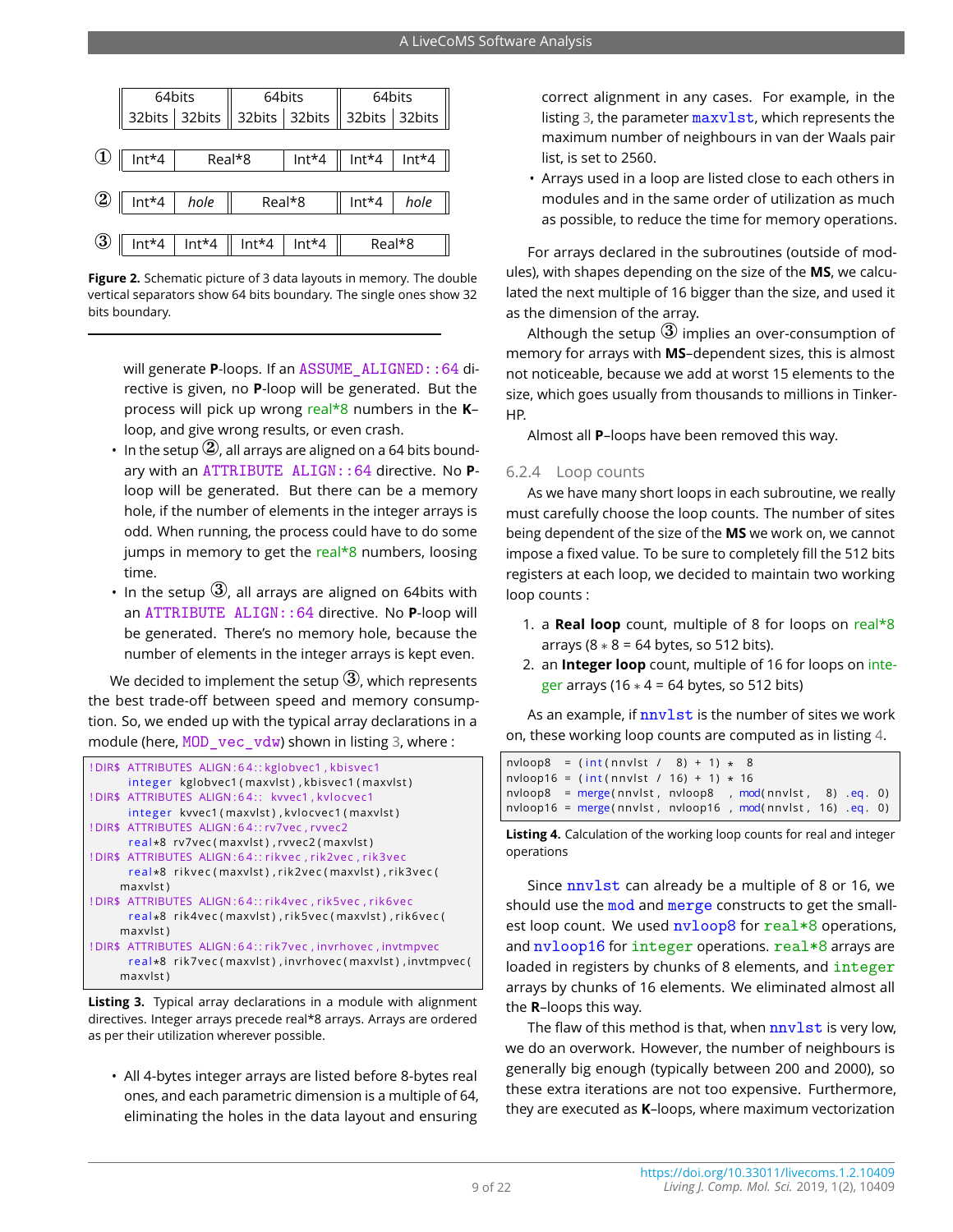<span id="page-8-0"></span>

|          | $Int*4$                       | Real*8            |         | $Int*4$ |         | $Int*4$   Int*4 |
|----------|-------------------------------|-------------------|---------|---------|---------|-----------------|
|          |                               |                   |         |         |         |                 |
| ७        | $\parallel$ Int <sup>*4</sup> | hole              | Real*8  |         | $Int*4$ | hole            |
|          |                               |                   |         |         |         |                 |
| $\bf{3}$ |                               | $Int*4$   $Int*4$ | $Int*4$ | $Int*4$ | Real*8  |                 |

**Figure 2.** Schematic picture of 3 data layouts in memory. The double vertical separators show 64 bits boundary. The single ones show 32 bits boundary.

will generate **P**-loops. If an ASSUME\_ALIGNED::64 directive is given, no **P**-loop will be generated. But the process will pick up wrong real\*8 numbers in the **K**– loop, and give wrong results, or even crash.

- In the setup  $(2)$ , all arrays are aligned on a 64 bits boundary with an ATTRIBUTE ALIGN::64 directive. No **P**loop will be generated. But there can be a memory hole, if the number of elements in the integer arrays is odd. When running, the process could have to do some jumps in memory to get the real\*8 numbers, loosing time.
- In the setup  $(3)$ , all arrays are aligned on 64bits with an ATTRIBUTE ALIGN::64 directive. No **P**-loop will be generated. There's no memory hole, because the number of elements in the integer arrays is kept even.

We decided to implement the setup  $\mathcal{F}$ , which represents the best trade-off between speed and memory consumption. So, we ended up with the typical array declarations in a module (here, MOD vec vdw) shown in listing [3,](#page-8-1) where :

<span id="page-8-1"></span>



• All 4-bytes integer arrays are listed before 8-bytes real ones, and each parametric dimension is a multiple of 64, eliminating the holes in the data layout and ensuring

correct alignment in any cases. For example, in the listing [3,](#page-8-1) the parameter maxylst, which represents the maximum number of neighbours in van der Waals pair list, is set to 2560.

• Arrays used in a loop are listed close to each others in modules and in the same order of utilization as much as possible, to reduce the time for memory operations.

For arrays declared in the subroutines (outside of modules), with shapes depending on the size of the **MS**, we calculated the next multiple of 16 bigger than the size, and used it as the dimension of the array.

Although the setup  $\overline{3}$  implies an over-consumption of memory for arrays with **MS**–dependent sizes, this is almost not noticeable, because we add at worst 15 elements to the size, which goes usually from thousands to millions in Tinker-HP.

Almost all **P**–loops have been removed this way.

#### 6.2.4 Loop counts

As we have many short loops in each subroutine, we really must carefully choose the loop counts. The number of sites being dependent of the size of the **MS** we work on, we cannot impose a fixed value. To be sure to completely fill the 512 bits registers at each loop, we decided to maintain two working loop counts :

- 1. a **Real loop** count, multiple of 8 for loops on real\*8 arrays ( $8 * 8 = 64$  bytes, so 512 bits).
- 2. an **Integer loop** count, multiple of 16 for loops on integer arrays (16  $*$  4 = 64 bytes, so 512 bits)

As an example, if **nnvlst** is the number of sites we work on, these working loop counts are computed as in listing [4.](#page-8-2)

<span id="page-8-2"></span>

|  | $n$ vloop8 = $(int(nnvlst / 8) + 1) * 8$                                 |  |  |  |  |
|--|--------------------------------------------------------------------------|--|--|--|--|
|  | $n$ vloop16 = (int(nnvlst / 16) + 1) * 16                                |  |  |  |  |
|  | $n$ vloop $8$ = $m$ erge(nnvlst, nvloop $8$ , $mod(nn$ vlst, $8)$ eq. 0) |  |  |  |  |
|  | nvloop16 = $merge(nnvlst, nvloop16, mod(nnvlst, 16).eq. 0)$              |  |  |  |  |

**Listing 4.** Calculation of the working loop counts for real and integer operations

Since **nnvlst** can already be a multiple of 8 or 16, we should use the mod and merge constructs to get the smallest loop count. We used  $nvloop8$  for  $real*8$  operations, and  $nvloop16$  for integer operations.  $real*8$  arrays are loaded in registers by chunks of 8 elements, and integer arrays by chunks of 16 elements. We eliminated almost all the **R**–loops this way.

The flaw of this method is that, when nnvlst is very low, we do an overwork. However, the number of neighbours is generally big enough (typically between 200 and 2000), so these extra iterations are not too expensive. Furthermore, they are executed as **K**–loops, where maximum vectorization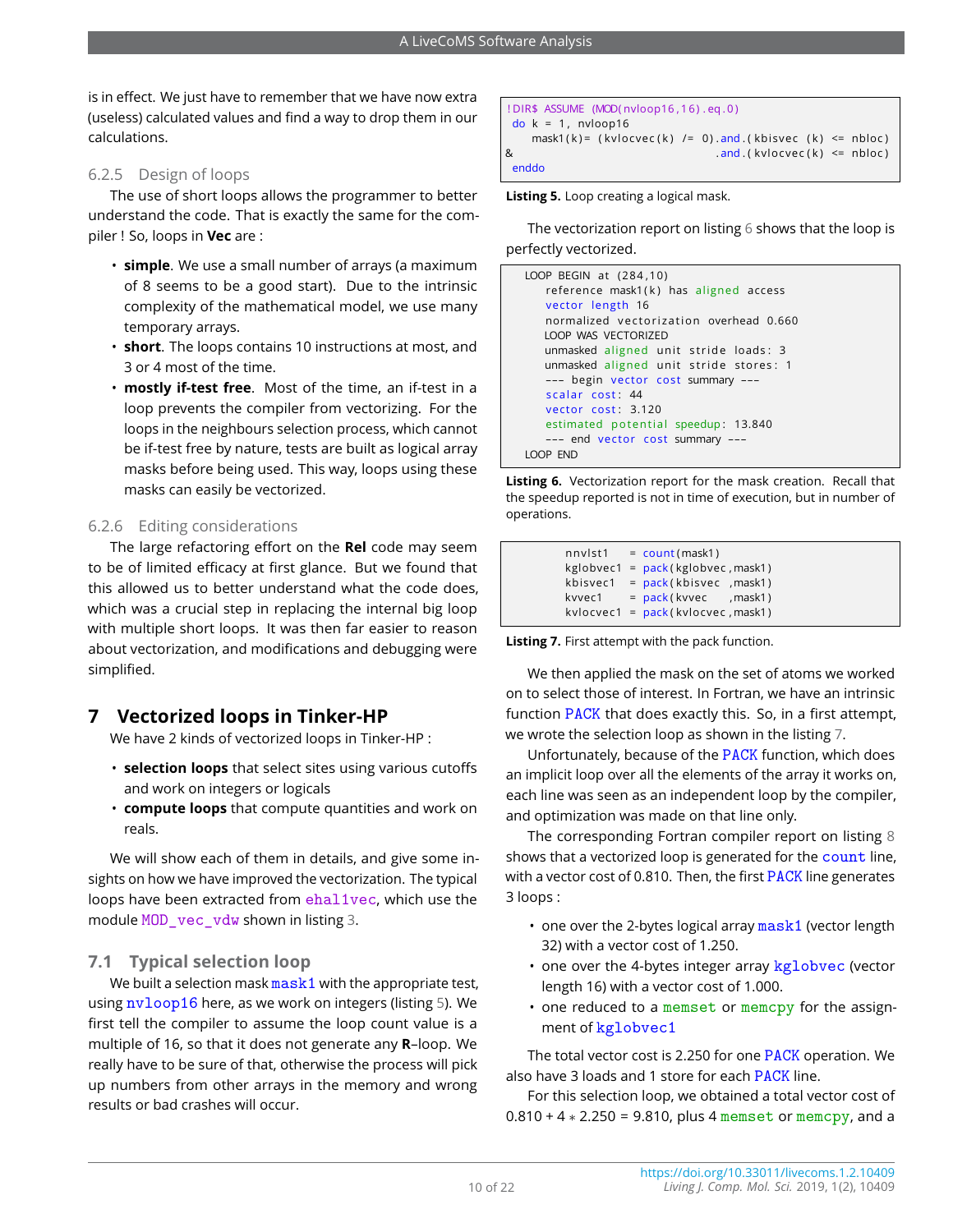is in effect. We just have to remember that we have now extra (useless) calculated values and find a way to drop them in our calculations.

#### 6.2.5 Design of loops

The use of short loops allows the programmer to better understand the code. That is exactly the same for the compiler ! So, loops in **Vec** are :

- **simple**. We use a small number of arrays (a maximum of 8 seems to be a good start). Due to the intrinsic complexity of the mathematical model, we use many temporary arrays.
- **short**. The loops contains 10 instructions at most, and 3 or 4 most of the time.
- **mostly if-test free**. Most of the time, an if-test in a loop prevents the compiler from vectorizing. For the loops in the neighbours selection process, which cannot be if-test free by nature, tests are built as logical array masks before being used. This way, loops using these masks can easily be vectorized.

## 6.2.6 Editing considerations

The large refactoring effort on the **Rel** code may seem to be of limited efficacy at first glance. But we found that this allowed us to better understand what the code does, which was a crucial step in replacing the internal big loop with multiple short loops. It was then far easier to reason about vectorization, and modifications and debugging were simplified.

## **7 Vectorized loops in Tinker-HP**

We have 2 kinds of vectorized loops in Tinker-HP :

- **selection loops** that select sites using various cutoffs and work on integers or logicals
- **compute loops** that compute quantities and work on reals.

We will show each of them in details, and give some insights on how we have improved the vectorization. The typical loops have been extracted from ehal1vec, which use the module MOD vec vdw shown in listing [3.](#page-8-1)

## **7.1 Typical selection loop**

We built a selection mask  $\text{mask1}$  with the appropriate test, using nvloop16 here, as we work on integers (listing [5\)](#page-9-1). We first tell the compiler to assume the loop count value is a multiple of 16, so that it does not generate any **R**–loop. We really have to be sure of that, otherwise the process will pick up numbers from other arrays in the memory and wrong results or bad crashes will occur.

```
! DIR$ ASSUME (MOD( nvloop16 , 1 6) . eq . 0 )
 do k = 1, nvloop16
   mask1(k)= (kvlocvec(k) /= 0).and (kbisvec (k) <= nbloc)
\& and (k \vee loc(k) \leq n \bmod(k))enddo
```
**Listing 5.** Loop creating a logical mask.

The vectorization report on listing [6](#page-9-2) shows that the loop is perfectly vectorized.

```
LOOP BEGIN at (284, 10)reference mask1(k) has aligned access
   vector length 16
   normalized vectorization overhead 0.660
  LOOP WAS VECTORIZED
  unmasked aligned unit stride loads: 3
   unmasked aligned unit stride stores: 1
   --- begin vector cost summary ---
   scalar cost: 44
   vector cost: 3.120
   estimated potential speedup: 13.840
   --- end vector cost summary ---
LOOP END
```
**Listing 6.** Vectorization report for the mask creation. Recall that the speedup reported is not in time of execution, but in number of operations.

<span id="page-9-3"></span>

| nnvlst1 | $=$ count (mask1)                       |
|---------|-----------------------------------------|
|         | $kglobvec1 = pack(kglobvec, mask1)$     |
|         | kbisvec1 = $pack(kbisvec, mask1)$       |
| kvvec1  | $= pack(kvvec$ , mask1)                 |
|         | $k$ vlocvec1 = $pack(k$ vlocvec, mask1) |

<span id="page-9-0"></span>**Listing 7.** First attempt with the pack function.

We then applied the mask on the set of atoms we worked on to select those of interest. In Fortran, we have an intrinsic function PACK that does exactly this. So, in a first attempt, we wrote the selection loop as shown in the listing [7.](#page-9-3)

Unfortunately, because of the PACK function, which does an implicit loop over all the elements of the array it works on, each line was seen as an independent loop by the compiler, and optimization was made on that line only.

The corresponding Fortran compiler report on listing [8](#page-10-0) shows that a vectorized loop is generated for the count line, with a vector cost of 0.810. Then, the first PACK line generates 3 loops :

- one over the 2-bytes logical array mask1 (vector length 32) with a vector cost of 1.250.
- one over the 4-bytes integer array kglobvec (vector length 16) with a vector cost of 1.000.
- one reduced to a memset or memcpy for the assignment of kglobvec1

The total vector cost is 2.250 for one PACK operation. We also have 3 loads and 1 store for each PACK line.

For this selection loop, we obtained a total vector cost of  $0.810 + 4 * 2.250 = 9.810$ , plus 4 memset or memcpy, and a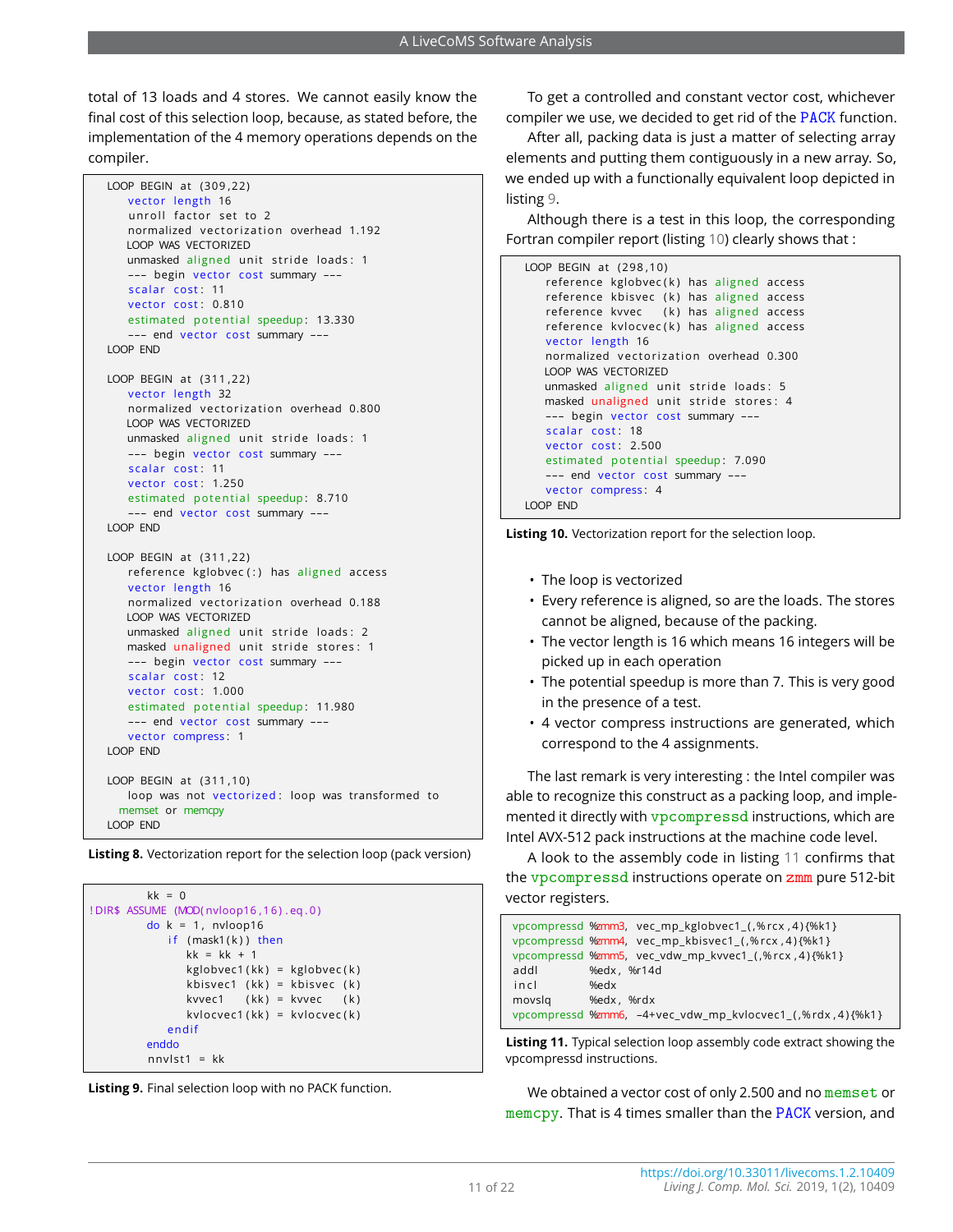total of 13 loads and 4 stores. We cannot easily know the final cost of this selection loop, because, as stated before, the implementation of the 4 memory operations depends on the compiler.

```
LOOP BEGIN at (309,22)
   vector length 16
   unroll factor set to 2
   normalized vectorization overhead 1.192
   LOOP WAS VECTORIZED
   unmasked aligned unit stride loads: 1
   --- begin vector cost summary ---
   scalar cost: 11
   vector cost: 0.810
   estimated potential speedup: 13.330
   --- end vector cost summary ---
LOOP END
LOOP BEGIN at (311,22)
   vector length 32
   normalized vectorization overhead 0.800
   LOOP WAS VECTORIZED
   unmasked aligned unit stride loads: 1
   --- begin vector cost summary ---
   scalar cost: 11
   vector cost: 1.250
   estimated potential speedup: 8.710
   --- end vector cost summary ---
LOOP END
LOOP BEGIN at (311,22)
   reference kglobvec (:) has aligned access
   vector length 16
   normalized vectorization overhead 0.188
   LOOP WAS VECTORIZED
   unmasked aligned unit stride loads: 2
   masked unaligned unit stride stores: 1
   --- begin vector cost summary ---
   scalar cost: 12
   vector cost: 1.000
   estimated potential speedup: 11.980
   --- end vector cost summary ---
   vector compress: 1
LOOP END
LOOP BEGIN at (311,10)
   loop was not vectorized: loop was transformed to
 memset or memcpy
LOOP END
```
**Listing 8.** Vectorization report for the selection loop (pack version)

```
kk = 0! DIR$ ASSUME (MOD( nvloop16 , 1 6) . eq . 0 )
         do k = 1, nvloop16
            if (mask1(k)) then
               kk = kk + 1kglobvec1 ( kk) = kglobvec(k)kbisvec1 (kk) = kbisvec (k)
               kvvec1 (kk) = kvvec (k)
               kvlocvec1(kk) = kvlocvec(k)endif
         enddo
         nnvIst1 = kk
```


To get a controlled and constant vector cost, whichever compiler we use, we decided to get rid of the PACK function.

After all, packing data is just a matter of selecting array elements and putting them contiguously in a new array. So, we ended up with a functionally equivalent loop depicted in listing [9.](#page-10-1)

Although there is a test in this loop, the corresponding Fortran compiler report (listing [10\)](#page-10-2) clearly shows that :

```
LOOP BEGIN at (298, 10)reference kglobvec(k) has aligned access
   reference kbisvec (k) has aligned access
   reference kvvec (k) has aligned access
   reference kvlocvec(k) has aligned access
   vector length 16
   normalized vectorization overhead 0.300
  LOOP WAS VECTORIZED
   unmasked aligned unit stride loads: 5
  masked unaligned unit stride stores: 4
   --- begin vector cost summary ---
   scalar cost: 18
   vector cost: 2.500
   estimated potential speedup: 7.090
   --- end vector cost summary ---
   vector compress: 4
LOOP END
```


- The loop is vectorized
- Every reference is aligned, so are the loads. The stores cannot be aligned, because of the packing.
- The vector length is 16 which means 16 integers will be picked up in each operation
- The potential speedup is more than 7. This is very good in the presence of a test.
- 4 vector compress instructions are generated, which correspond to the 4 assignments.

The last remark is very interesting : the Intel compiler was able to recognize this construct as a packing loop, and implemented it directly with vpcompressd instructions, which are Intel AVX-512 pack instructions at the machine code level.

A look to the assembly code in listing [11](#page-10-3) confirms that the vpcompressd instructions operate on zmm pure 512-bit vector registers.

```
vpcompressd %zmm3, vec_mp_kglobvec1_(,%rcx,4){%k1}
vpcompressd %zmm4, vec_mp_kbisvec1_(,%rcx,4){%k1}
vpcompressd %zmm5, vec_vdw_mp_kvvec1_( ,% rcx , 4 ) {%k1 }
addl %edx , %r14d
in cl %edx
movslq %edx , %rdx
vpcompressd %zmm6, –4+vec_vdw_mp_kvlocvec1_ ( ,% rdx , 4 ) {%k1 }
```
**Listing 11.** Typical selection loop assembly code extract showing the vpcompressd instructions.

We obtained a vector cost of only 2.500 and no memset or memcpy. That is 4 times smaller than the PACK version, and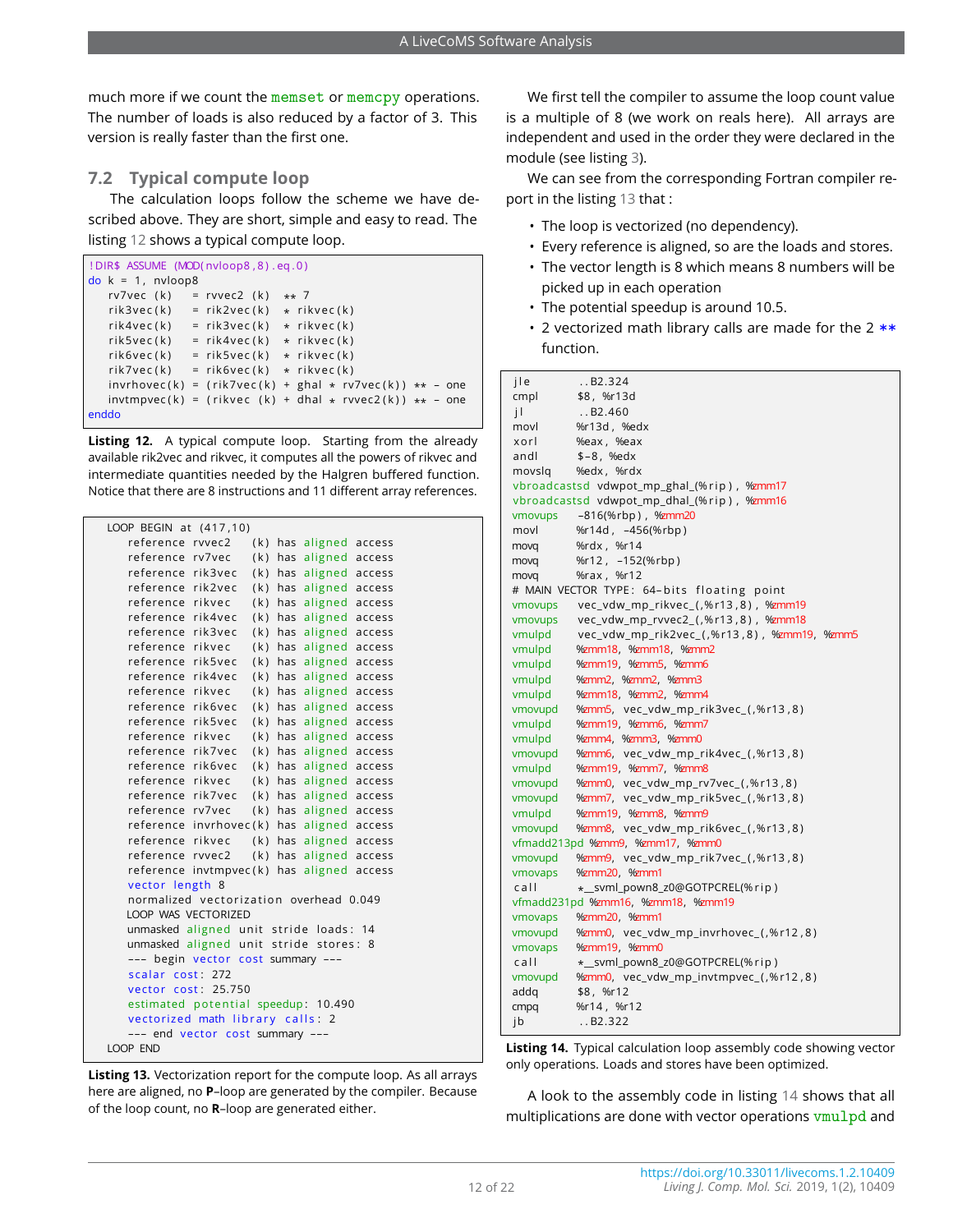much more if we count the memset or memcpy operations. The number of loads is also reduced by a factor of 3. This version is really faster than the first one.

## **7.2 Typical compute loop**

The calculation loops follow the scheme we have described above. They are short, simple and easy to read. The listing [12](#page-11-0) shows a typical compute loop.

```
! DIR$ ASSUME (MOD( nvloop8 , 8 ) . eq . 0 )
do k = 1, nvloop8
  rv7vec (k) = rvvec2 (k) ** 7rik3vec(k) = rik2vec(k) * rikvec(k)rik4vec(k) = rik3vec(k) + rikvec(k)rik5vec(k) = rik4vec(k) * rikvec(k)
   rik6vec(k) = rik5vec(k) * rikvec(k)rik7vec(k) = rik6vec(k) \star rikvec(k)
   invrhovec(k) = (rik7vec(k) + ghal * rv7vec(k)) ** - oneinvtmpvec(k) = (rikvec (k) + dhal * rvvec2(k)) ** - oneenddo
```
**Listing 12.** A typical compute loop. Starting from the already available rik2vec and rikvec, it computes all the powers of rikvec and intermediate quantities needed by the Halgren buffered function. Notice that there are 8 instructions and 11 different array references.

<span id="page-11-1"></span>

| LOOP BEGIN at (417,10)                      |        |  |                        |        |  |
|---------------------------------------------|--------|--|------------------------|--------|--|
| reference rvvec2                            |        |  | (k) has aligned access |        |  |
| reference rv7vec                            |        |  | (k) has aligned access |        |  |
| reference rik3vec                           |        |  | (k) has aligned access |        |  |
| reference rik2vec                           |        |  | (k) has aligned access |        |  |
| reference rikvec                            |        |  | (k) has aligned access |        |  |
| reference rik4vec                           |        |  | (k) has aligned access |        |  |
| reference rik3vec                           |        |  | (k) has aligned access |        |  |
| reference rikvec                            |        |  | (k) has aligned access |        |  |
| reference rik5vec                           |        |  | (k) has aligned access |        |  |
| reference rik4vec                           |        |  | (k) has aligned access |        |  |
| reference rikvec                            |        |  | (k) has aligned access |        |  |
| reference rik6vec                           |        |  | (k) has aligned access |        |  |
| reference rik5vec                           |        |  | (k) has aligned        | access |  |
| reference rikvec                            |        |  | (k) has aligned access |        |  |
| reference rik7vec                           |        |  | (k) has aligned access |        |  |
| reference rik6vec                           |        |  | (k) has aligned access |        |  |
| reference rikvec                            |        |  | (k) has aligned access |        |  |
| reference rik7vec                           |        |  | (k) has aligned access |        |  |
| reference rv7vec                            |        |  | (k) has aligned access |        |  |
| reference invrhovec(k) has aligned access   |        |  |                        |        |  |
| reference rikvec                            |        |  | (k) has aligned access |        |  |
| reference rvvec2                            |        |  | (k) has aligned access |        |  |
| reference invtmpvec(k) has aligned          |        |  |                        | access |  |
| vector length 8                             |        |  |                        |        |  |
| normalized vectorization overhead 0.049     |        |  |                        |        |  |
| LOOP WAS VECTORIZED                         |        |  |                        |        |  |
| unmasked aligned unit stride loads: 14      |        |  |                        |        |  |
| unmasked aligned unit stride                |        |  | stores: 8              |        |  |
| --- begin vector cost summary               |        |  |                        |        |  |
| scalar cost: 272                            |        |  |                        |        |  |
| vector cost:                                | 25.750 |  |                        |        |  |
| estimated potential speedup: 10.490         |        |  |                        |        |  |
| vectorized math library calls: 2            |        |  |                        |        |  |
| --- end vector cost summary ---<br>LOOP END |        |  |                        |        |  |
|                                             |        |  |                        |        |  |

**Listing 13.** Vectorization report for the compute loop. As all arrays here are aligned, no **P**–loop are generated by the compiler. Because of the loop count, no **R**–loop are generated either.

We first tell the compiler to assume the loop count value is a multiple of 8 (we work on reals here). All arrays are independent and used in the order they were declared in the module (see listing [3\)](#page-8-1).

We can see from the corresponding Fortran compiler report in the listing [13](#page-11-1) that :

- The loop is vectorized (no dependency).
- Every reference is aligned, so are the loads and stores.
- The vector length is 8 which means 8 numbers will be picked up in each operation
- The potential speedup is around 10.5.
- 2 vectorized math library calls are made for the  $2$  \*\* function.

<span id="page-11-2"></span>

| jle     | .B2.324                                     |
|---------|---------------------------------------------|
| cmpl    | \$8, %r13d                                  |
| jI      | .B2.460                                     |
| movl    | %r13d, %edx                                 |
| xorl    | %eax, %eax                                  |
| andl    | $$-8, %edx$                                 |
| movslq  | %edx, %rdx                                  |
|         | vbroadcastsd vdwpot_mp_ghal_(%rip), %zmm17  |
|         | vbroadcastsd vdwpot_mp_dhal_(%rip), %zmm16  |
| vmovups | -816(%rbp), %zmm20                          |
| movl    | %r14d, -456(%rbp)                           |
| movq    | %rdx, %r14                                  |
| movq    | %r12, -152(%rbp)                            |
| movq    | %rax, %r12                                  |
|         | # MAIN VECTOR TYPE: 64-bits floating point  |
| vmovups | vec_vdw_mp_rikvec_(,%r13,8), %zmm19         |
| vmovups | vec_vdw_mp_rvvec2_(,%r13,8), %zmm18         |
| vmulpd  | vec_vdw_mp_rik2vec_(,%r13,8), %zmm19, %zmm5 |
| vmulpd  | %zmm18, %zmm18, %zmm2                       |
| vmulpd  | %zmm19, %zmm5, %zmm6                        |
| vmulpd  | %zmm2, %zmm2, %zmm3                         |
| vmulpd  | %zmm18, %zmm2, %zmm4                        |
| vmovupd | %zmm5, vec_vdw_mp_rik3vec_(,%r13,8)         |
| vmulpd  | %zmm19, %zmm6, %zmm7                        |
| vmulpd  | %zmm4, %zmm3, %zmm0                         |
| vmovupd | %zmm6, vec_vdw_mp_rik4vec_(,%r13,8)         |
| vmulpd  | %zmm19, %zmm7, %zmm8                        |
| vmovupd | %zmm0, vec_vdw_mp_rv7vec_(,%r13,8)          |
| vmovupd | %zmm7, vec_vdw_mp_rik5vec_(,%r13,8)         |
| vmulpd  | %zmm19, %zmm8, %zmm9                        |
| vmovupd | %zmm8, vec_vdw_mp_rik6vec_(,%r13,8)         |
|         | vfmadd213pd %zmm9, %zmm17, %zmm0            |
| vmovupd | %zmm9, vec_vdw_mp_rik7vec_(,%r13,8)         |
| vmovaps | %zmm20, %zmm1                               |
| call    | * _svml_pown8_z0@GOTPCREL(%rip)             |
|         | vfmadd231pd %zmm16, %zmm18, %zmm19          |
| vmovaps | %zmm20, %zmm1                               |
| vmovupd | %zmm0, vec_vdw_mp_invrhovec_(,%r12,8)       |
| vmovaps | %zmm19, %zmm0                               |
| call    | *_svml_pown8_z0@GOTPCREL(%rip)              |
| vmovupd | %zmm0, vec_vdw_mp_invtmpvec_(,%r12,8)       |
| addq    | \$8, %r12                                   |
| cmpq    | %r14, %r12                                  |
| jb      | .B2.322                                     |

**Listing 14.** Typical calculation loop assembly code showing vector only operations. Loads and stores have been optimized.

A look to the assembly code in listing [14](#page-11-2) shows that all multiplications are done with vector operations vmulpd and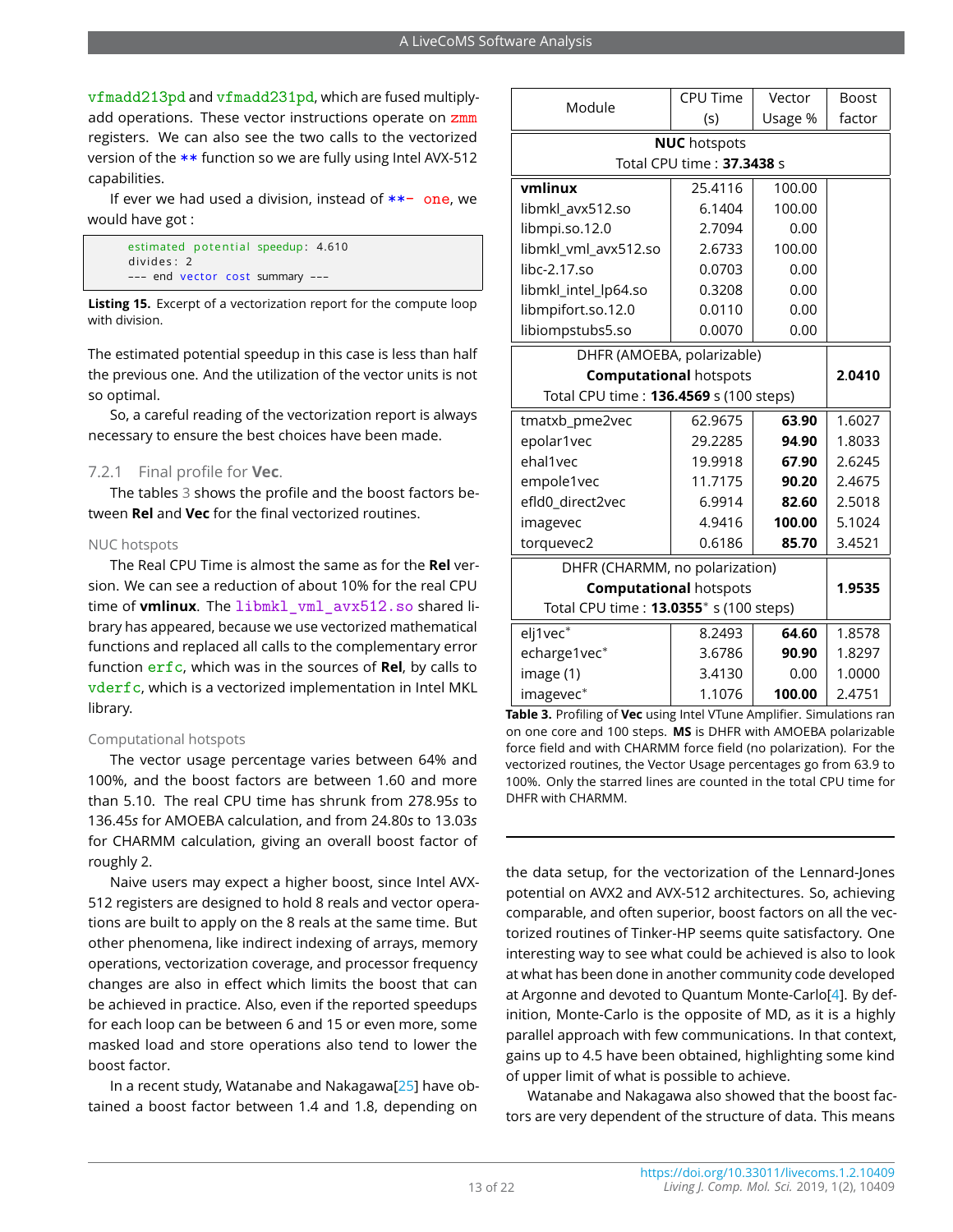vfmadd213pd and vfmadd231pd, which are fused multiplyadd operations. These vector instructions operate on zmm registers. We can also see the two calls to the vectorized version of the \*\* function so we are fully using Intel AVX-512 capabilities.

If ever we had used a division, instead of  $**-$  one, we would have got :

<span id="page-12-1"></span>

|            | estimated potential speedup: 4.610 |
|------------|------------------------------------|
| divides: 2 |                                    |
|            | --- end vector cost summary ---    |

**Listing 15.** Excerpt of a vectorization report for the compute loop with division.

The estimated potential speedup in this case is less than half the previous one. And the utilization of the vector units is not so optimal.

So, a careful reading of the vectorization report is always necessary to ensure the best choices have been made.

#### 7.2.1 Final profile for **Vec**.

The tables [3](#page-12-0) shows the profile and the boost factors between **Rel** and **Vec** for the final vectorized routines.

#### NUC hotspots

The Real CPU Time is almost the same as for the **Rel** version. We can see a reduction of about 10% for the real CPU time of **vmlinux**. The libmkl vml avx512.so shared library has appeared, because we use vectorized mathematical functions and replaced all calls to the complementary error function erfc, which was in the sources of **Rel**, by calls to vderfc, which is a vectorized implementation in Intel MKL library.

#### Computational hotspots

The vector usage percentage varies between 64% and 100%, and the boost factors are between 1.60 and more than 5.10. The real CPU time has shrunk from 278.95*s* to 136.45*s* for AMOEBA calculation, and from 24.80*s* to 13.03*s* for CHARMM calculation, giving an overall boost factor of roughly 2.

Naive users may expect a higher boost, since Intel AVX-512 registers are designed to hold 8 reals and vector operations are built to apply on the 8 reals at the same time. But other phenomena, like indirect indexing of arrays, memory operations, vectorization coverage, and processor frequency changes are also in effect which limits the boost that can be achieved in practice. Also, even if the reported speedups for each loop can be between 6 and 15 or even more, some masked load and store operations also tend to lower the boost factor.

In a recent study, Watanabe and Nakagawa[\[25\]](#page-18-23) have obtained a boost factor between 1.4 and 1.8, depending on

<span id="page-12-0"></span>

| Module                                 | <b>CPU Time</b> | Vector  | <b>Boost</b> |  |  |  |
|----------------------------------------|-----------------|---------|--------------|--|--|--|
|                                        | (s)             | Usage % | factor       |  |  |  |
| <b>NUC</b> hotspots                    |                 |         |              |  |  |  |
| Total CPU time: 37.3438 s              |                 |         |              |  |  |  |
| vmlinux                                | 25.4116         | 100.00  |              |  |  |  |
| libmkl_avx512.so                       | 6.1404          | 100.00  |              |  |  |  |
| libmpi.so.12.0                         | 2.7094          | 0.00    |              |  |  |  |
| libmkl_vml_avx512.so                   | 2.6733          | 100.00  |              |  |  |  |
| libc-2.17.so                           | 0.0703          | 0.00    |              |  |  |  |
| libmkl_intel_lp64.so                   | 0.3208          | 0.00    |              |  |  |  |
| libmpifort.so.12.0                     | 0.0110          | 0.00    |              |  |  |  |
| libiompstubs5.so                       | 0.0070          | 0.00    |              |  |  |  |
| DHFR (AMOEBA, polarizable)             |                 |         |              |  |  |  |
| <b>Computational hotspots</b>          |                 |         | 2.0410       |  |  |  |
| Total CPU time: 136.4569 s (100 steps) |                 |         |              |  |  |  |
| tmatxb_pme2vec                         | 62.9675         | 63.90   | 1.6027       |  |  |  |
| epolar1vec                             | 29.2285         | 94.90   | 1.8033       |  |  |  |
| ehal1vec                               | 19.9918         | 67.90   | 2.6245       |  |  |  |
| empole1vec                             | 11.7175         | 90.20   | 2.4675       |  |  |  |
| efld0_direct2vec                       | 6.9914          | 82.60   | 2.5018       |  |  |  |
| imagevec                               | 4.9416          | 100.00  | 5.1024       |  |  |  |
| torquevec2                             | 0.6186          | 85.70   | 3.4521       |  |  |  |
| DHFR (CHARMM, no polarization)         |                 |         |              |  |  |  |
| <b>Computational hotspots</b>          |                 |         | 1.9535       |  |  |  |
| Total CPU time: 13.0355* s (100 steps) |                 |         |              |  |  |  |
| elj1vec*                               | 8.2493          | 64.60   | 1.8578       |  |  |  |
| echarge1vec*                           | 3.6786          | 90.90   | 1.8297       |  |  |  |
| image (1)                              | 3.4130          | 0.00    | 1.0000       |  |  |  |
| imagevec*                              | 1.1076          | 100.00  | 2.4751       |  |  |  |

**Table 3.** Profiling of **Vec** using Intel VTune Amplifier. Simulations ran on one core and 100 steps. **MS** is DHFR with AMOEBA polarizable force field and with CHARMM force field (no polarization). For the vectorized routines, the Vector Usage percentages go from 63.9 to 100%. Only the starred lines are counted in the total CPU time for DHFR with CHARMM.

the data setup, for the vectorization of the Lennard-Jones potential on AVX2 and AVX-512 architectures. So, achieving comparable, and often superior, boost factors on all the vectorized routines of Tinker-HP seems quite satisfactory. One interesting way to see what could be achieved is also to look at what has been done in another community code developed at Argonne and devoted to Quantum Monte-Carlo[\[4\]](#page-18-2). By definition, Monte-Carlo is the opposite of MD, as it is a highly parallel approach with few communications. In that context, gains up to 4.5 have been obtained, highlighting some kind of upper limit of what is possible to achieve.

Watanabe and Nakagawa also showed that the boost factors are very dependent of the structure of data. This means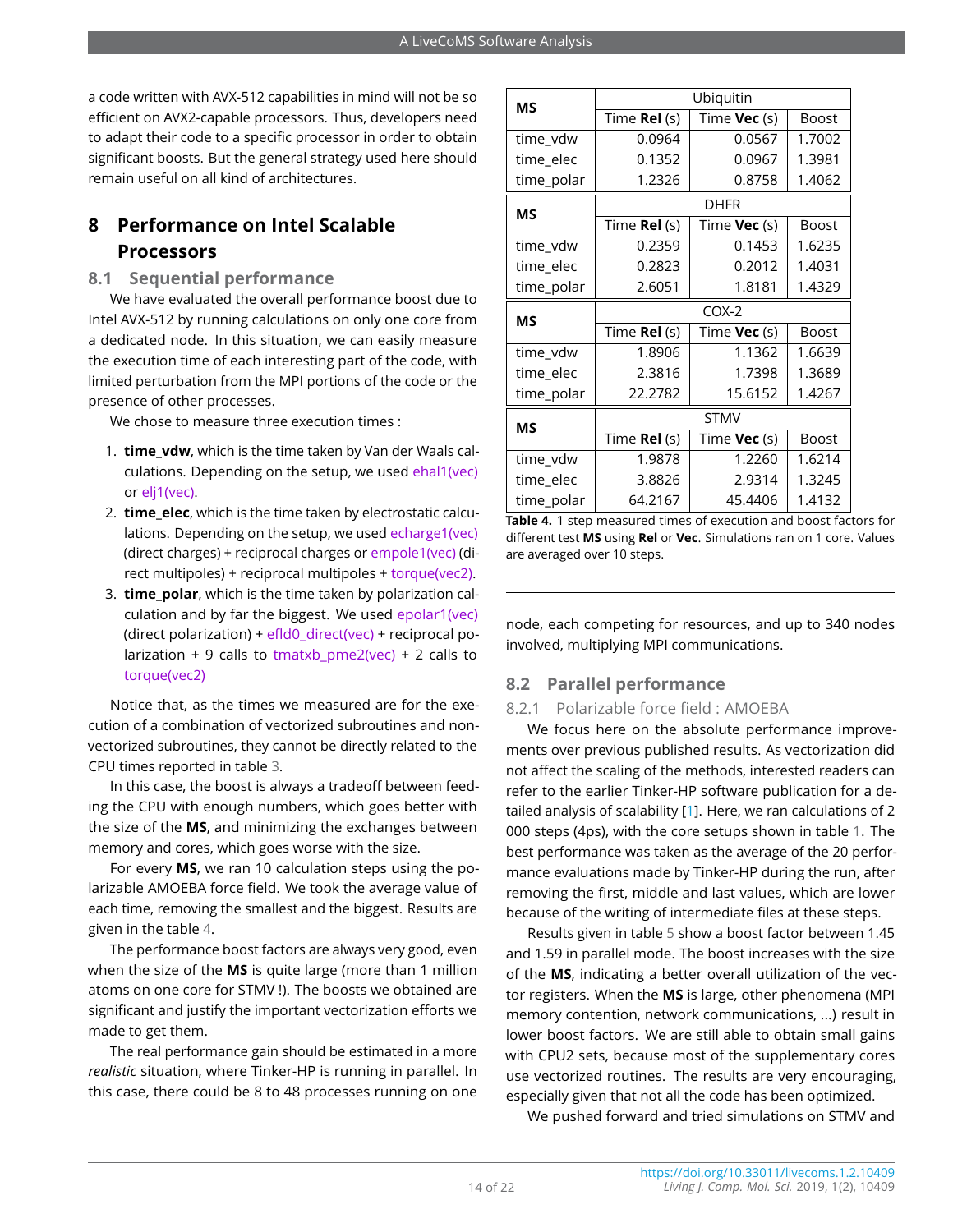a code written with AVX-512 capabilities in mind will not be so efficient on AVX2-capable processors. Thus, developers need to adapt their code to a specific processor in order to obtain significant boosts. But the general strategy used here should remain useful on all kind of architectures.

## **8 Performance on Intel Scalable Processors**

#### **8.1 Sequential performance**

We have evaluated the overall performance boost due to Intel AVX-512 by running calculations on only one core from a dedicated node. In this situation, we can easily measure the execution time of each interesting part of the code, with limited perturbation from the MPI portions of the code or the presence of other processes.

We chose to measure three execution times :

- 1. **time\_vdw**, which is the time taken by Van der Waals calculations. Depending on the setup, we used ehal1(vec) or elj1(vec).
- 2. **time\_elec**, which is the time taken by electrostatic calculations. Depending on the setup, we used echarge1(vec) (direct charges) + reciprocal charges or empole1(vec) (direct multipoles) + reciprocal multipoles + torque(vec2).
- 3. **time\_polar**, which is the time taken by polarization calculation and by far the biggest. We used epolar1(vec) (direct polarization) + efld0\_direct(vec) + reciprocal polarization + 9 calls to tmatxb  $pme2(vec) + 2$  calls to torque(vec2)

Notice that, as the times we measured are for the execution of a combination of vectorized subroutines and nonvectorized subroutines, they cannot be directly related to the CPU times reported in table [3.](#page-12-0)

In this case, the boost is always a tradeoff between feeding the CPU with enough numbers, which goes better with the size of the **MS**, and minimizing the exchanges between memory and cores, which goes worse with the size.

For every **MS**, we ran 10 calculation steps using the polarizable AMOEBA force field. We took the average value of each time, removing the smallest and the biggest. Results are given in the table [4.](#page-13-0)

The performance boost factors are always very good, even when the size of the **MS** is quite large (more than 1 million atoms on one core for STMV !). The boosts we obtained are significant and justify the important vectorization efforts we made to get them.

The real performance gain should be estimated in a more *realistic* situation, where Tinker-HP is running in parallel. In this case, there could be 8 to 48 processes running on one

<span id="page-13-0"></span>

| <b>MS</b>  | Ubiquitin           |                     |              |  |  |  |  |
|------------|---------------------|---------------------|--------------|--|--|--|--|
|            | Time <b>Rel</b> (s) | Time <b>Vec</b> (s) | <b>Boost</b> |  |  |  |  |
| time_vdw   | 0.0964              | 0.0567              | 1.7002       |  |  |  |  |
| time_elec  | 0.1352              | 0.0967              | 1.3981       |  |  |  |  |
| time_polar | 1.2326              | 0.8758              | 1.4062       |  |  |  |  |
| MS         |                     | <b>DHFR</b>         |              |  |  |  |  |
|            | Time Rel (s)        | Time Vec (s)        | <b>Boost</b> |  |  |  |  |
| time_vdw   | 0.2359              | 0.1453              | 1.6235       |  |  |  |  |
| time elec  | 0.2823              | 0.2012              | 1.4031       |  |  |  |  |
| time_polar | 2.6051              | 1.8181              | 1.4329       |  |  |  |  |
| <b>MS</b>  | $COX-2$             |                     |              |  |  |  |  |
|            | Time <b>Rel</b> (s) | Time <b>Vec</b> (s) | <b>Boost</b> |  |  |  |  |
| time_vdw   | 1.8906              | 1.1362              | 1.6639       |  |  |  |  |
| time_elec  | 2.3816              | 1.7398              | 1.3689       |  |  |  |  |
| time_polar | 22.2782             | 15.6152             | 1.4267       |  |  |  |  |
| <b>MS</b>  | <b>STMV</b>         |                     |              |  |  |  |  |
|            | Time Rel (s)        | Time <b>Vec</b> (s) | <b>Boost</b> |  |  |  |  |
| time_vdw   | 1.9878              | 1.2260              | 1.6214       |  |  |  |  |
| time_elec  | 3.8826              | 2.9314              | 1.3245       |  |  |  |  |
| time_polar | 64.2167             | 45.4406             | 1.4132       |  |  |  |  |

**Table 4.** 1 step measured times of execution and boost factors for different test **MS** using **Rel** or **Vec**. Simulations ran on 1 core. Values are averaged over 10 steps.

node, each competing for resources, and up to 340 nodes involved, multiplying MPI communications.

## **8.2 Parallel performance**

#### 8.2.1 Polarizable force field : AMOEBA

We focus here on the absolute performance improvements over previous published results. As vectorization did not affect the scaling of the methods, interested readers can refer to the earlier Tinker-HP software publication for a detailed analysis of scalability [\[1\]](#page-17-0). Here, we ran calculations of 2 000 steps (4ps), with the core setups shown in table [1.](#page-4-0) The best performance was taken as the average of the 20 performance evaluations made by Tinker-HP during the run, after removing the first, middle and last values, which are lower because of the writing of intermediate files at these steps.

Results given in table [5](#page-14-0) show a boost factor between 1.45 and 1.59 in parallel mode. The boost increases with the size of the **MS**, indicating a better overall utilization of the vector registers. When the **MS** is large, other phenomena (MPI memory contention, network communications, ...) result in lower boost factors. We are still able to obtain small gains with CPU2 sets, because most of the supplementary cores use vectorized routines. The results are very encouraging, especially given that not all the code has been optimized.

We pushed forward and tried simulations on STMV and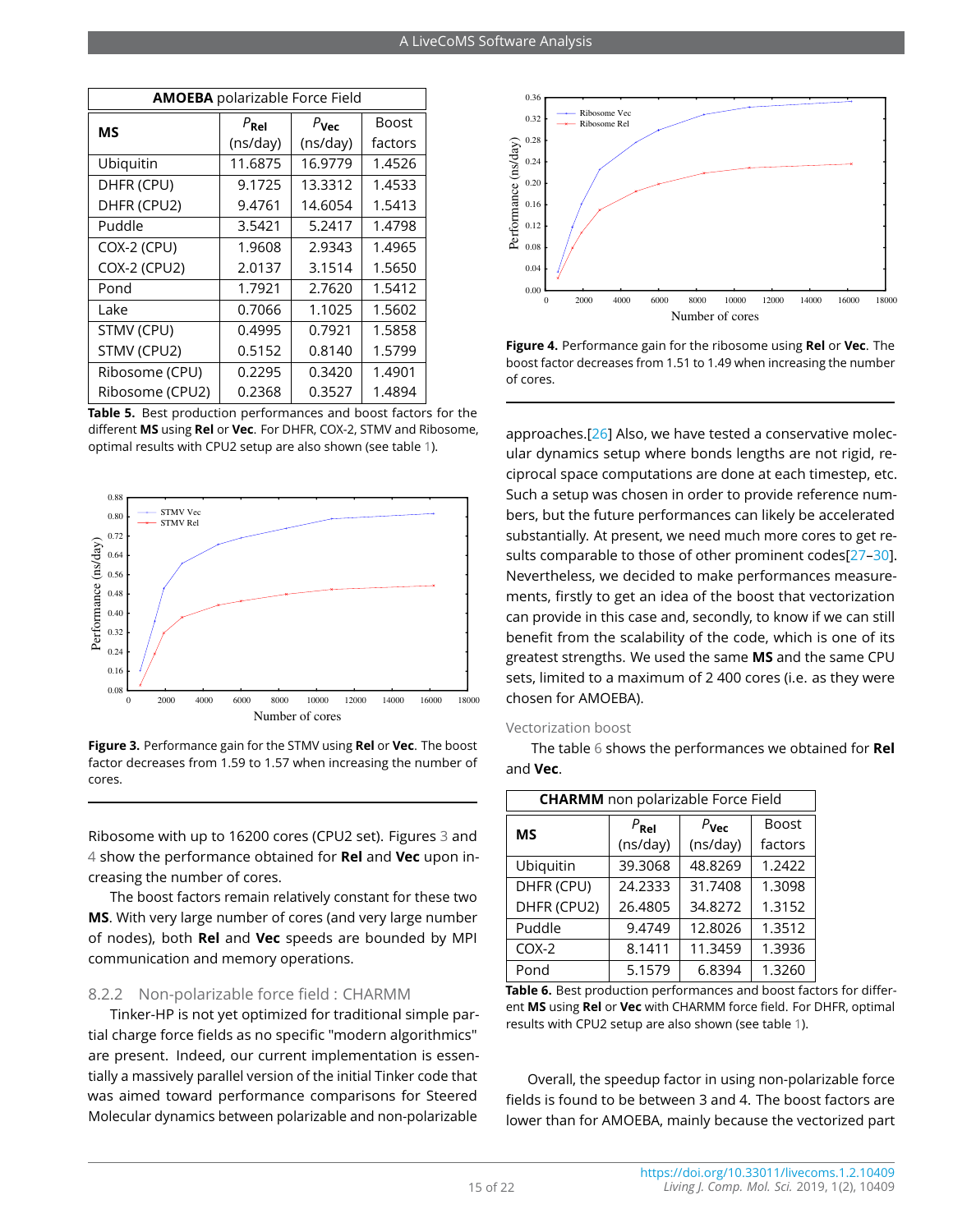<span id="page-14-0"></span>

| <b>AMOEBA</b> polarizable Force Field |               |                  |              |  |  |  |
|---------------------------------------|---------------|------------------|--------------|--|--|--|
| ΜS                                    | $P_{\rm Rel}$ | $P_{\text{Vec}}$ | <b>Boost</b> |  |  |  |
|                                       | (ns/day)      | (ns/day)         | factors      |  |  |  |
| Ubiquitin                             | 11.6875       | 16.9779          | 1.4526       |  |  |  |
| DHFR (CPU)                            | 9.1725        | 13.3312          | 1.4533       |  |  |  |
| DHFR (CPU2)                           | 9.4761        | 14.6054          | 1.5413       |  |  |  |
| Puddle                                | 3.5421        | 5.2417           | 1.4798       |  |  |  |
| COX-2 (CPU)                           | 1.9608        | 2.9343           | 1.4965       |  |  |  |
| COX-2 (CPU2)                          | 2.0137        | 3.1514           | 1.5650       |  |  |  |
| Pond                                  | 1.7921        | 2.7620           | 1.5412       |  |  |  |
| Lake                                  | 0.7066        | 1.1025           | 1.5602       |  |  |  |
| STMV (CPU)                            | 0.4995        | 0.7921           | 1.5858       |  |  |  |
| STMV (CPU2)                           | 0.5152        | 0.8140           | 1.5799       |  |  |  |
| Ribosome (CPU)                        | 0.2295        | 0.3420           | 1.4901       |  |  |  |
| Ribosome (CPU2)                       | 0.2368        | 0.3527           | 1.4894       |  |  |  |

**Table 5.** Best production performances and boost factors for the different **MS** using **Rel** or **Vec**. For DHFR, COX-2, STMV and Ribosome, optimal results with CPU2 setup are also shown (see table [1\)](#page-4-0).

<span id="page-14-2"></span>

**Figure 3.** Performance gain for the STMV using **Rel** or **Vec**. The boost factor decreases from 1.59 to 1.57 when increasing the number of cores.

Ribosome with up to 16200 cores (CPU2 set). Figures [3](#page-14-2) and [4](#page-14-3) show the performance obtained for **Rel** and **Vec** upon increasing the number of cores.

The boost factors remain relatively constant for these two **MS**. With very large number of cores (and very large number of nodes), both **Rel** and **Vec** speeds are bounded by MPI communication and memory operations.

#### 8.2.2 Non-polarizable force field : CHARMM

Tinker-HP is not yet optimized for traditional simple partial charge force fields as no specific "modern algorithmics" are present. Indeed, our current implementation is essentially a massively parallel version of the initial Tinker code that was aimed toward performance comparisons for Steered Molecular dynamics between polarizable and non-polarizable

<span id="page-14-3"></span>

**Figure 4.** Performance gain for the ribosome using **Rel** or **Vec**. The boost factor decreases from 1.51 to 1.49 when increasing the number of cores.

approaches.[\[26\]](#page-18-24) Also, we have tested a conservative molecular dynamics setup where bonds lengths are not rigid, reciprocal space computations are done at each timestep, etc. Such a setup was chosen in order to provide reference numbers, but the future performances can likely be accelerated substantially. At present, we need much more cores to get re-sults comparable to those of other prominent codes[27-[30\]](#page-19-1). Nevertheless, we decided to make performances measurements, firstly to get an idea of the boost that vectorization can provide in this case and, secondly, to know if we can still benefit from the scalability of the code, which is one of its greatest strengths. We used the same **MS** and the same CPU sets, limited to a maximum of 2 400 cores (i.e. as they were chosen for AMOEBA).

#### Vectorization boost

The table [6](#page-14-1) shows the performances we obtained for **Rel** and **Vec**.

<span id="page-14-1"></span>

| <b>CHARMM</b> non polarizable Force Field |                  |                  |              |
|-------------------------------------------|------------------|------------------|--------------|
| ΜS                                        | $P_{\text{Rel}}$ | $P_{\text{Vec}}$ | <b>Boost</b> |
|                                           | (ns/day)         | (ns/day)         | factors      |
| Ubiquitin                                 | 39.3068          | 48.8269          | 1.2422       |
| DHFR (CPU)                                | 24.2333          | 31.7408          | 1.3098       |
| DHFR (CPU2)                               | 26.4805          | 34.8272          | 1.3152       |
| Puddle                                    | 9.4749           | 12.8026          | 1.3512       |
| $COX-2$                                   | 8.1411           | 11.3459          | 1.3936       |
| Pond                                      | 5.1579           | 6.8394           | 1.3260       |

**Table 6.** Best production performances and boost factors for different **MS** using **Rel** or **Vec** with CHARMM force field. For DHFR, optimal results with CPU2 setup are also shown (see table [1\)](#page-4-0).

Overall, the speedup factor in using non-polarizable force fields is found to be between 3 and 4. The boost factors are lower than for AMOEBA, mainly because the vectorized part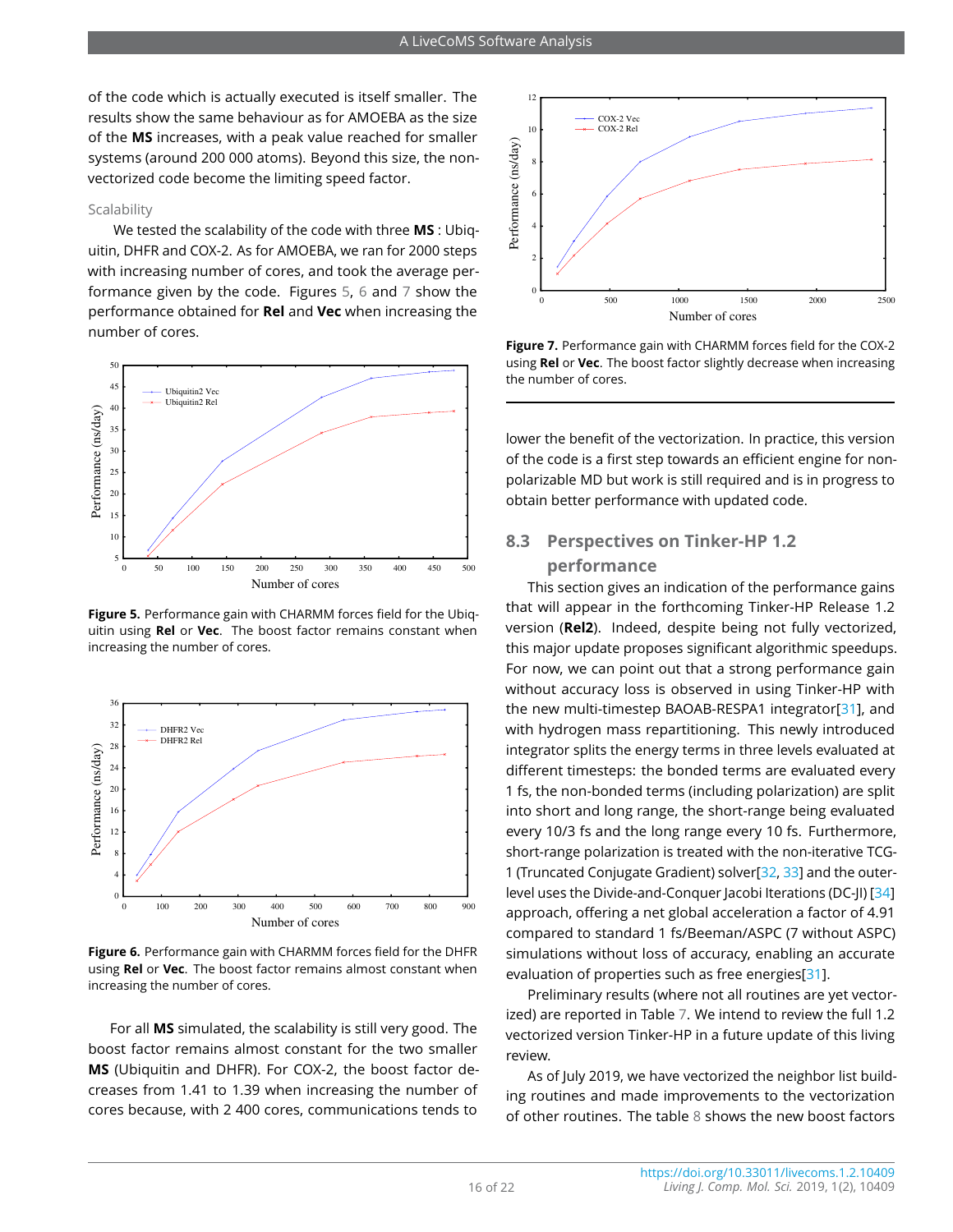of the code which is actually executed is itself smaller. The results show the same behaviour as for AMOEBA as the size of the **MS** increases, with a peak value reached for smaller systems (around 200 000 atoms). Beyond this size, the nonvectorized code become the limiting speed factor.

#### Scalability

We tested the scalability of the code with three **MS** : Ubiquitin, DHFR and COX-2. As for AMOEBA, we ran for 2000 steps with increasing number of cores, and took the average performance given by the code. Figures [5,](#page-15-1) [6](#page-15-2) and [7](#page-15-3) show the performance obtained for **Rel** and **Vec** when increasing the number of cores.

<span id="page-15-1"></span>

**Figure 5.** Performance gain with CHARMM forces field for the Ubiquitin using **Rel** or **Vec**. The boost factor remains constant when increasing the number of cores.

<span id="page-15-2"></span>

**Figure 6.** Performance gain with CHARMM forces field for the DHFR using **Rel** or **Vec**. The boost factor remains almost constant when increasing the number of cores.

For all **MS** simulated, the scalability is still very good. The boost factor remains almost constant for the two smaller **MS** (Ubiquitin and DHFR). For COX-2, the boost factor decreases from 1.41 to 1.39 when increasing the number of cores because, with 2 400 cores, communications tends to

<span id="page-15-3"></span>

**Figure 7.** Performance gain with CHARMM forces field for the COX-2 using **Rel** or **Vec**. The boost factor slightly decrease when increasing the number of cores.

lower the benefit of the vectorization. In practice, this version of the code is a first step towards an efficient engine for nonpolarizable MD but work is still required and is in progress to obtain better performance with updated code.

## <span id="page-15-0"></span>**8.3 Perspectives on Tinker-HP 1.2 performance**

This section gives an indication of the performance gains that will appear in the forthcoming Tinker-HP Release 1.2 version (**Rel2**). Indeed, despite being not fully vectorized, this major update proposes significant algorithmic speedups. For now, we can point out that a strong performance gain without accuracy loss is observed in using Tinker-HP with the new multi-timestep BAOAB-RESPA1 integrator[\[31\]](#page-19-2), and with hydrogen mass repartitioning. This newly introduced integrator splits the energy terms in three levels evaluated at different timesteps: the bonded terms are evaluated every 1 fs, the non-bonded terms (including polarization) are split into short and long range, the short-range being evaluated every 10/3 fs and the long range every 10 fs. Furthermore, short-range polarization is treated with the non-iterative TCG-1 (Truncated Conjugate Gradient) solver[\[32,](#page-19-3) [33\]](#page-19-4) and the outerlevel uses the Divide-and-Conquer Jacobi Iterations (DC-JI) [\[34\]](#page-19-5) approach, offering a net global acceleration a factor of 4.91 compared to standard 1 fs/Beeman/ASPC (7 without ASPC) simulations without loss of accuracy, enabling an accurate evaluation of properties such as free energies[\[31\]](#page-19-2).

Preliminary results (where not all routines are yet vectorized) are reported in Table [7.](#page-16-0) We intend to review the full 1.2 vectorized version Tinker-HP in a future update of this living review.

As of July 2019, we have vectorized the neighbor list building routines and made improvements to the vectorization of other routines. The table [8](#page-16-1) shows the new boost factors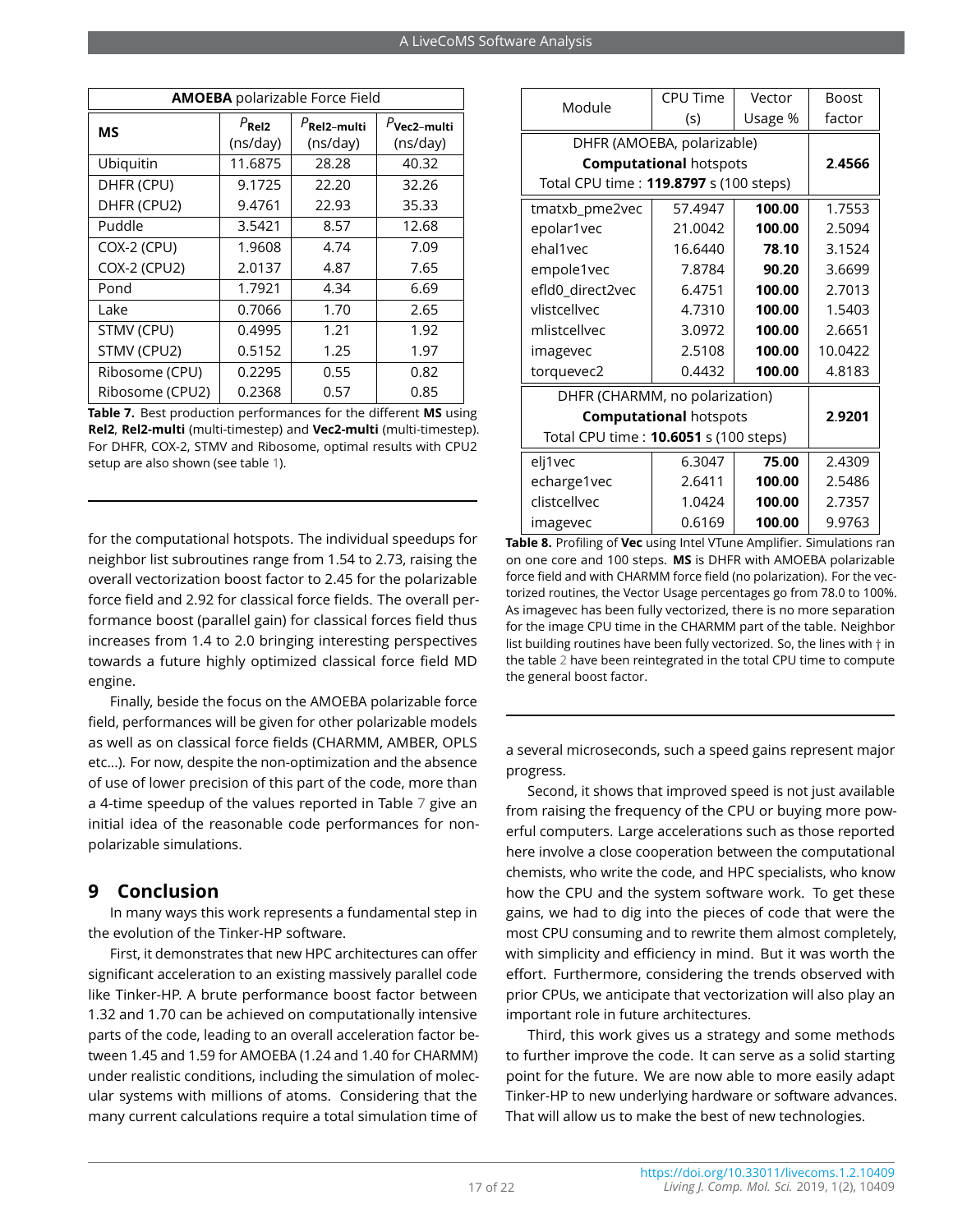<span id="page-16-0"></span>

| <b>AMOEBA</b> polarizable Force Field |                               |                                     |                            |
|---------------------------------------|-------------------------------|-------------------------------------|----------------------------|
| ΜS                                    | $P_{\text{Rel2}}$<br>(ns/day) | $P_{\text{Rel2-multi}}$<br>(ns/day) | $P$ Vec2-multi<br>(ns/day) |
| Ubiquitin                             | 11.6875                       | 28.28                               | 40.32                      |
| DHFR (CPU)                            | 9.1725                        | 22.20                               | 32.26                      |
| DHFR (CPU2)                           | 9.4761                        | 35.33<br>22.93                      |                            |
| Puddle                                | 3.5421                        | 8.57                                | 12.68                      |
| COX-2 (CPU)                           | 1.9608                        | 4.74                                | 7.09                       |
| <b>COX-2 (CPU2)</b>                   | 2.0137                        | 4.87                                | 7.65                       |
| Pond                                  | 1.7921                        | 4.34                                | 6.69                       |
| Lake                                  | 0.7066                        | 1.70                                | 2.65                       |
| STMV (CPU)                            | 0.4995                        | 1.21                                | 1.92                       |
| STMV (CPU2)                           | 0.5152                        | 1.25                                | 1.97                       |
| Ribosome (CPU)                        | 0.2295                        | 0.55                                | 0.82                       |
| Ribosome (CPU2)                       | 0.2368                        | 0.57                                | 0.85                       |

**Table 7.** Best production performances for the different **MS** using **Rel2**, **Rel2-multi** (multi-timestep) and **Vec2-multi** (multi-timestep). For DHFR, COX-2, STMV and Ribosome, optimal results with CPU2 setup are also shown (see table [1\)](#page-4-0).

for the computational hotspots. The individual speedups for neighbor list subroutines range from 1.54 to 2.73, raising the overall vectorization boost factor to 2.45 for the polarizable force field and 2.92 for classical force fields. The overall performance boost (parallel gain) for classical forces field thus increases from 1.4 to 2.0 bringing interesting perspectives towards a future highly optimized classical force field MD engine.

Finally, beside the focus on the AMOEBA polarizable force field, performances will be given for other polarizable models as well as on classical force fields (CHARMM, AMBER, OPLS etc...). For now, despite the non-optimization and the absence of use of lower precision of this part of the code, more than a 4-time speedup of the values reported in Table [7](#page-16-0) give an initial idea of the reasonable code performances for nonpolarizable simulations.

## **9 Conclusion**

In many ways this work represents a fundamental step in the evolution of the Tinker-HP software.

First, it demonstrates that new HPC architectures can offer significant acceleration to an existing massively parallel code like Tinker-HP. A brute performance boost factor between 1.32 and 1.70 can be achieved on computationally intensive parts of the code, leading to an overall acceleration factor between 1.45 and 1.59 for AMOEBA (1.24 and 1.40 for CHARMM) under realistic conditions, including the simulation of molecular systems with millions of atoms. Considering that the many current calculations require a total simulation time of

<span id="page-16-1"></span>

| Module                                 | CPU Time                      | Vector  | <b>Boost</b> |  |
|----------------------------------------|-------------------------------|---------|--------------|--|
|                                        | (s)                           | Usage % | factor       |  |
| DHFR (AMOEBA, polarizable)             |                               |         |              |  |
| <b>Computational hotspots</b>          |                               |         | 2.4566       |  |
| Total CPU time: 119.8797 s (100 steps) |                               |         |              |  |
| tmatxb_pme2vec                         | 57.4947                       | 100.00  | 1.7553       |  |
| epolar1vec                             | 21.0042                       | 100.00  | 2.5094       |  |
| ehal1vec                               | 16.6440                       | 78.10   | 3.1524       |  |
| empole1vec                             | 7.8784                        | 90.20   | 3.6699       |  |
| efId0_direct2vec                       | 6.4751                        | 100.00  | 2.7013       |  |
| vlistcellvec                           | 4.7310                        | 100.00  | 1.5403       |  |
| mlistrellver                           | 3.0972                        | 100.00  | 2.6651       |  |
| imagevec                               | 2.5108                        | 100.00  | 10.0422      |  |
| torquevec2                             | 0.4432                        | 100.00  | 4.8183       |  |
| DHFR (CHARMM, no polarization)         |                               |         |              |  |
|                                        | <b>Computational hotspots</b> |         | 2.9201       |  |
| Total CPU time: 10.6051 s (100 steps)  |                               |         |              |  |
| elj1vec                                | 6.3047                        | 75.00   | 2.4309       |  |
| echarge1vec                            | 2.6411                        | 100.00  | 2.5486       |  |
| clistcellvec                           | 1.0424                        | 100.00  | 2.7357       |  |
| imagevec                               | 0.6169                        | 100.00  | 9.9763       |  |

**Table 8.** Profiling of **Vec** using Intel VTune Amplifier. Simulations ran on one core and 100 steps. **MS** is DHFR with AMOEBA polarizable force field and with CHARMM force field (no polarization). For the vectorized routines, the Vector Usage percentages go from 78.0 to 100%. As imagevec has been fully vectorized, there is no more separation for the image CPU time in the CHARMM part of the table. Neighbor list building routines have been fully vectorized. So, the lines with † in the table [2](#page-5-0) have been reintegrated in the total CPU time to compute the general boost factor.

a several microseconds, such a speed gains represent major progress.

Second, it shows that improved speed is not just available from raising the frequency of the CPU or buying more powerful computers. Large accelerations such as those reported here involve a close cooperation between the computational chemists, who write the code, and HPC specialists, who know how the CPU and the system software work. To get these gains, we had to dig into the pieces of code that were the most CPU consuming and to rewrite them almost completely, with simplicity and efficiency in mind. But it was worth the effort. Furthermore, considering the trends observed with prior CPUs, we anticipate that vectorization will also play an important role in future architectures.

Third, this work gives us a strategy and some methods to further improve the code. It can serve as a solid starting point for the future. We are now able to more easily adapt Tinker-HP to new underlying hardware or software advances. That will allow us to make the best of new technologies.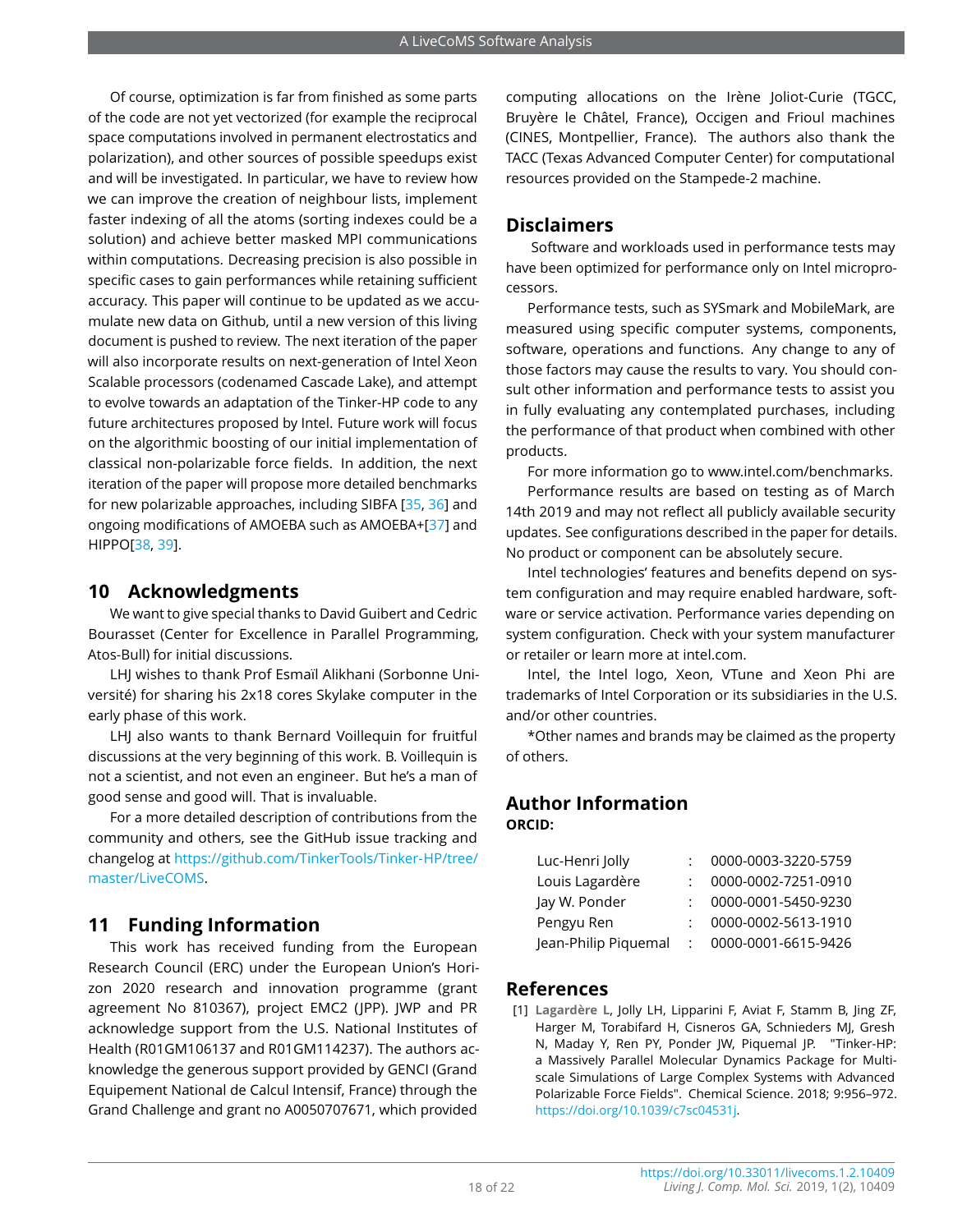Of course, optimization is far from finished as some parts of the code are not yet vectorized (for example the reciprocal space computations involved in permanent electrostatics and polarization), and other sources of possible speedups exist and will be investigated. In particular, we have to review how we can improve the creation of neighbour lists, implement faster indexing of all the atoms (sorting indexes could be a solution) and achieve better masked MPI communications within computations. Decreasing precision is also possible in specific cases to gain performances while retaining sufficient accuracy. This paper will continue to be updated as we accumulate new data on Github, until a new version of this living document is pushed to review. The next iteration of the paper will also incorporate results on next-generation of Intel Xeon Scalable processors (codenamed Cascade Lake), and attempt to evolve towards an adaptation of the Tinker-HP code to any future architectures proposed by Intel. Future work will focus on the algorithmic boosting of our initial implementation of classical non-polarizable force fields. In addition, the next iteration of the paper will propose more detailed benchmarks for new polarizable approaches, including SIBFA [\[35,](#page-19-6) [36\]](#page-19-7) and ongoing modifications of AMOEBA such as AMOEBA+[\[37\]](#page-19-8) and HIPPO[\[38,](#page-19-9) [39\]](#page-19-10).

## **10 Acknowledgments**

We want to give special thanks to David Guibert and Cedric Bourasset (Center for Excellence in Parallel Programming, Atos-Bull) for initial discussions.

LHJ wishes to thank Prof Esmaïl Alikhani (Sorbonne Université) for sharing his 2x18 cores Skylake computer in the early phase of this work.

LHJ also wants to thank Bernard Voillequin for fruitful discussions at the very beginning of this work. B. Voillequin is not a scientist, and not even an engineer. But he's a man of good sense and good will. That is invaluable.

For a more detailed description of contributions from the community and others, see the GitHub issue tracking and changelog at [https://github.com/TinkerTools/Tinker-HP/tree/](https://github.com/TinkerTools/Tinker-HP/tree/master/LiveCOMS) [master/LiveCOMS.](https://github.com/TinkerTools/Tinker-HP/tree/master/LiveCOMS)

## **11 Funding Information**

This work has received funding from the European Research Council (ERC) under the European Union's Horizon 2020 research and innovation programme (grant agreement No 810367), project EMC2 (JPP). JWP and PR acknowledge support from the U.S. National Institutes of Health (R01GM106137 and R01GM114237). The authors acknowledge the generous support provided by GENCI (Grand Equipement National de Calcul Intensif, France) through the Grand Challenge and grant no A0050707671, which provided

computing allocations on the Irène Joliot-Curie (TGCC, Bruyère le Châtel, France), Occigen and Frioul machines (CINES, Montpellier, France). The authors also thank the TACC (Texas Advanced Computer Center) for computational resources provided on the Stampede-2 machine.

## **Disclaimers**

Software and workloads used in performance tests may have been optimized for performance only on Intel microprocessors.

Performance tests, such as SYSmark and MobileMark, are measured using specific computer systems, components, software, operations and functions. Any change to any of those factors may cause the results to vary. You should consult other information and performance tests to assist you in fully evaluating any contemplated purchases, including the performance of that product when combined with other products.

For more information go to www.intel.com/benchmarks.

Performance results are based on testing as of March 14th 2019 and may not reflect all publicly available security updates. See configurations described in the paper for details. No product or component can be absolutely secure.

Intel technologies' features and benefits depend on system configuration and may require enabled hardware, software or service activation. Performance varies depending on system configuration. Check with your system manufacturer or retailer or learn more at intel.com.

Intel, the Intel logo, Xeon, VTune and Xeon Phi are trademarks of Intel Corporation or its subsidiaries in the U.S. and/or other countries.

\*Other names and brands may be claimed as the property of others.

## **Author Information ORCID:**

| Luc-Henri Jolly      | 0000-0003-3220-5759 |
|----------------------|---------------------|
| Louis Lagardère      | 0000-0002-7251-0910 |
| Jay W. Ponder        | 0000-0001-5450-9230 |
| Pengyu Ren           | 0000-0002-5613-1910 |
| Jean-Philip Piquemal | 0000-0001-6615-9426 |
|                      |                     |

## **References**

<span id="page-17-0"></span>[1] **Lagardère L**, Jolly LH, Lipparini F, Aviat F, Stamm B, Jing ZF, Harger M, Torabifard H, Cisneros GA, Schnieders MJ, Gresh N, Maday Y, Ren PY, Ponder JW, Piquemal JP. "Tinker-HP: a Massively Parallel Molecular Dynamics Package for Multiscale Simulations of Large Complex Systems with Advanced Polarizable Force Fields". Chemical Science. 2018; 9:956–972. [https://doi.org/10.1039/c7sc04531j.](https://doi.org/10.1039/c7sc04531j)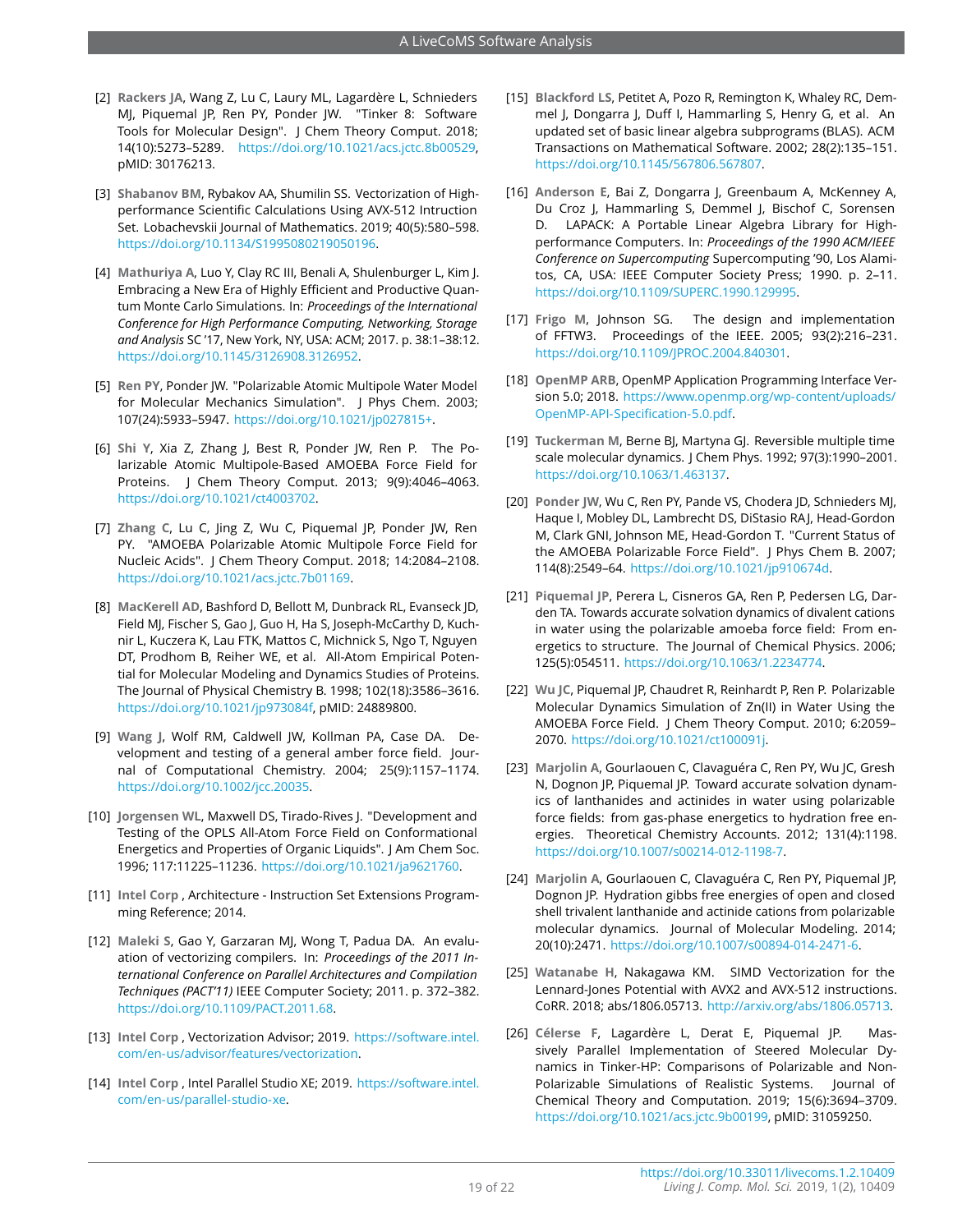- <span id="page-18-0"></span>[2] **Rackers JA**, Wang Z, Lu C, Laury ML, Lagardère L, Schnieders MJ, Piquemal JP, Ren PY, Ponder JW. "Tinker 8: Software Tools for Molecular Design". J Chem Theory Comput. 2018; 14(10):5273–5289. [https://doi.org/10.1021/acs.jctc.8b00529,](https://doi.org/10.1021/acs.jctc.8b00529) pMID: 30176213.
- <span id="page-18-1"></span>[3] **Shabanov BM**, Rybakov AA, Shumilin SS. Vectorization of Highperformance Scientific Calculations Using AVX-512 Intruction Set. Lobachevskii Journal of Mathematics. 2019; 40(5):580–598. [https://doi.org/10.1134/S1995080219050196.](https://doi.org/10.1134/S1995080219050196)
- <span id="page-18-2"></span>[4] **Mathuriya A**, Luo Y, Clay RC III, Benali A, Shulenburger L, Kim J. Embracing a New Era of Highly Efficient and Productive Quantum Monte Carlo Simulations. In: *Proceedings of the International Conference for High Performance Computing, Networking, Storage and Analysis* SC '17, New York, NY, USA: ACM; 2017. p. 38:1–38:12. [https://doi.org/10.1145/3126908.3126952.](https://doi.org/10.1145/3126908.3126952)
- <span id="page-18-3"></span>[5] **Ren PY**, Ponder JW. "Polarizable Atomic Multipole Water Model for Molecular Mechanics Simulation". | Phys Chem. 2003; 107(24):5933–5947. [https://doi.org/10.1021/jp027815+.](https://doi.org/10.1021/jp027815+)
- <span id="page-18-22"></span>[6] **Shi Y**, Xia Z, Zhang J, Best R, Ponder JW, Ren P. The Polarizable Atomic Multipole-Based AMOEBA Force Field for Proteins. J Chem Theory Comput. 2013; 9(9):4046–4063. [https://doi.org/10.1021/ct4003702.](https://doi.org/10.1021/ct4003702)
- <span id="page-18-4"></span>[7] **Zhang C**, Lu C, Jing Z, Wu C, Piquemal JP, Ponder JW, Ren PY. "AMOEBA Polarizable Atomic Multipole Force Field for Nucleic Acids". J Chem Theory Comput. 2018; 14:2084–2108. [https://doi.org/10.1021/acs.jctc.7b01169.](https://doi.org/10.1021/acs.jctc.7b01169)
- <span id="page-18-5"></span>[8] **MacKerell AD**, Bashford D, Bellott M, Dunbrack RL, Evanseck JD, Field MJ, Fischer S, Gao J, Guo H, Ha S, Joseph-McCarthy D, Kuchnir L, Kuczera K, Lau FTK, Mattos C, Michnick S, Ngo T, Nguyen DT, Prodhom B, Reiher WE, et al. All-Atom Empirical Potential for Molecular Modeling and Dynamics Studies of Proteins. The Journal of Physical Chemistry B. 1998; 102(18):3586–3616. [https://doi.org/10.1021/jp973084f,](https://doi.org/10.1021/jp973084f) pMID: 24889800.
- <span id="page-18-6"></span>[9] **Wang J**, Wolf RM, Caldwell JW, Kollman PA, Case DA. Development and testing of a general amber force field. Journal of Computational Chemistry. 2004; 25(9):1157–1174. [https://doi.org/10.1002/jcc.20035.](https://doi.org/10.1002/jcc.20035)
- <span id="page-18-7"></span>[10] **Jorgensen WL, Maxwell DS, Tirado-Rives J. "Development and** Testing of the OPLS All-Atom Force Field on Conformational Energetics and Properties of Organic Liquids". J Am Chem Soc. 1996; 117:11225–11236. [https://doi.org/10.1021/ja9621760.](https://doi.org/10.1021/ja9621760)
- <span id="page-18-8"></span>[11] **Intel Corp** , Architecture - Instruction Set Extensions Programming Reference; 2014.
- <span id="page-18-9"></span>[12] **Maleki S**, Gao Y, Garzaran MJ, Wong T, Padua DA. An evaluation of vectorizing compilers. In: *Proceedings of the 2011 International Conference on Parallel Architectures and Compilation Techniques (PACT'11)* IEEE Computer Society; 2011. p. 372–382. [https://doi.org/10.1109/PACT.2011.68.](https://doi.org/10.1109/PACT.2011.68)
- <span id="page-18-10"></span>[13] **Intel Corp** , Vectorization Advisor; 2019. [https://software.intel.](https://software.intel.com/en-us/advisor/features/vectorization) [com/en-us/advisor/features/vectorization.](https://software.intel.com/en-us/advisor/features/vectorization)
- <span id="page-18-11"></span>[14] **Intel Corp** , Intel Parallel Studio XE; 2019. [https://software.intel.](https://software.intel.com/en-us/parallel-studio-xe) [com/en-us/parallel-studio-xe.](https://software.intel.com/en-us/parallel-studio-xe)
- <span id="page-18-12"></span>[15] **Blackford LS**, Petitet A, Pozo R, Remington K, Whaley RC, Demmel J, Dongarra J, Duff I, Hammarling S, Henry G, et al. An updated set of basic linear algebra subprograms (BLAS). ACM Transactions on Mathematical Software. 2002; 28(2):135–151. [https://doi.org/10.1145/567806.567807.](https://doi.org/10.1145/567806.567807)
- <span id="page-18-13"></span>[16] **Anderson E**, Bai Z, Dongarra J, Greenbaum A, McKenney A, Du Croz J, Hammarling S, Demmel J, Bischof C, Sorensen D. LAPACK: A Portable Linear Algebra Library for Highperformance Computers. In: *Proceedings of the 1990 ACM/IEEE Conference on Supercomputing* Supercomputing '90, Los Alamitos, CA, USA: IEEE Computer Society Press; 1990. p. 2–11. [https://doi.org/10.1109/SUPERC.1990.129995.](https://doi.org/10.1109/SUPERC.1990.129995)
- <span id="page-18-14"></span>[17] **Frigo M**, Johnson SG. The design and implementation of FFTW3. Proceedings of the IEEE. 2005; 93(2):216–231. [https://doi.org/10.1109/JPROC.2004.840301.](https://doi.org/10.1109/JPROC.2004.840301)
- <span id="page-18-15"></span>[18] **OpenMP ARB**, OpenMP Application Programming Interface Version 5.0; 2018. [https://www.openmp.org/wp-content/uploads/](https://www.openmp.org/wp-content/uploads/OpenMP-API-Specification-5.0.pdf) [OpenMP-API-Specification-5.0.pdf.](https://www.openmp.org/wp-content/uploads/OpenMP-API-Specification-5.0.pdf)
- <span id="page-18-16"></span>[19] **Tuckerman M**, Berne BJ, Martyna GJ. Reversible multiple time scale molecular dynamics. J Chem Phys. 1992; 97(3):1990–2001. [https://doi.org/10.1063/1.463137.](https://doi.org/10.1063/1.463137)
- <span id="page-18-17"></span>[20] **Ponder JW**, Wu C, Ren PY, Pande VS, Chodera JD, Schnieders MJ, Haque I, Mobley DL, Lambrecht DS, DiStasio RAJ, Head-Gordon M, Clark GNI, Johnson ME, Head-Gordon T. "Current Status of the AMOEBA Polarizable Force Field". J Phys Chem B. 2007; 114(8):2549–64. [https://doi.org/10.1021/jp910674d.](https://doi.org/10.1021/jp910674d)
- <span id="page-18-18"></span>[21] **Piquemal JP**, Perera L, Cisneros GA, Ren P, Pedersen LG, Darden TA. Towards accurate solvation dynamics of divalent cations in water using the polarizable amoeba force field: From energetics to structure. The Journal of Chemical Physics. 2006; 125(5):054511. [https://doi.org/10.1063/1.2234774.](https://doi.org/10.1063/1.2234774)
- <span id="page-18-19"></span>[22] **Wu JC**, Piquemal JP, Chaudret R, Reinhardt P, Ren P. Polarizable Molecular Dynamics Simulation of Zn(II) in Water Using the AMOEBA Force Field. J Chem Theory Comput. 2010; 6:2059– 2070. [https://doi.org/10.1021/ct100091j.](https://doi.org/10.1021/ct100091j)
- <span id="page-18-20"></span>[23] **Marjolin A**, Gourlaouen C, Clavaguéra C, Ren PY, Wu JC, Gresh N, Dognon JP, Piquemal JP. Toward accurate solvation dynamics of lanthanides and actinides in water using polarizable force fields: from gas-phase energetics to hydration free energies. Theoretical Chemistry Accounts. 2012; 131(4):1198. [https://doi.org/10.1007/s00214-012-1198-7.](https://doi.org/10.1007/s00214-012-1198-7)
- <span id="page-18-21"></span>[24] **Marjolin A**, Gourlaouen C, Clavaguéra C, Ren PY, Piquemal JP, Dognon JP. Hydration gibbs free energies of open and closed shell trivalent lanthanide and actinide cations from polarizable molecular dynamics. Journal of Molecular Modeling. 2014; 20(10):2471. [https://doi.org/10.1007/s00894-014-2471-6.](https://doi.org/10.1007/s00894-014-2471-6)
- <span id="page-18-23"></span>[25] **Watanabe H**, Nakagawa KM. SIMD Vectorization for the Lennard-Jones Potential with AVX2 and AVX-512 instructions. CoRR. 2018; abs/1806.05713. [http://arxiv.org/abs/1806.05713.](http://arxiv.org/abs/1806.05713)
- <span id="page-18-24"></span>[26] **Célerse F**, Lagardère L, Derat E, Piquemal JP. Massively Parallel Implementation of Steered Molecular Dynamics in Tinker-HP: Comparisons of Polarizable and Non-Polarizable Simulations of Realistic Systems. Journal of Chemical Theory and Computation. 2019; 15(6):3694–3709. [https://doi.org/10.1021/acs.jctc.9b00199,](https://doi.org/10.1021/acs.jctc.9b00199) pMID: 31059250.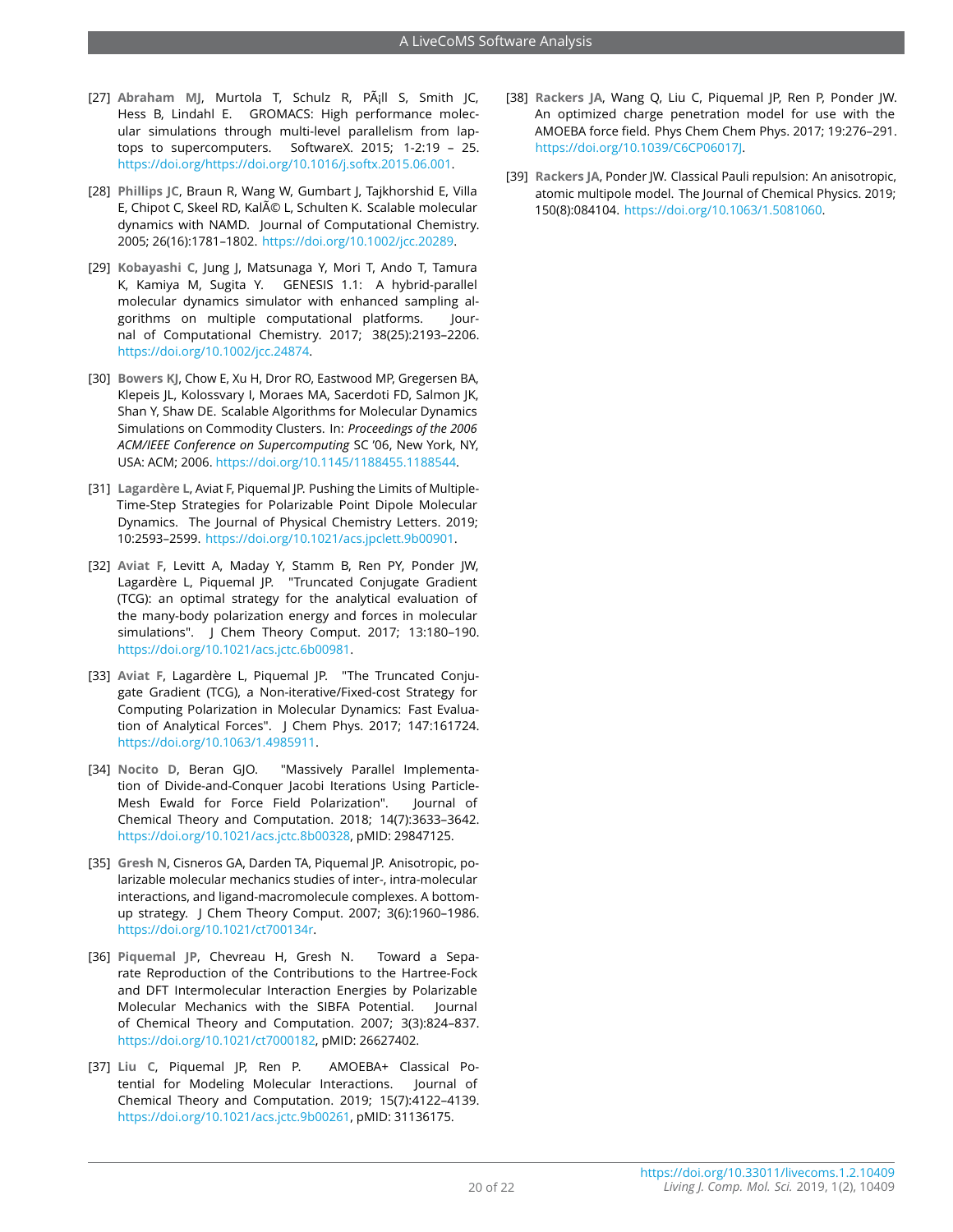- <span id="page-19-0"></span>[27] Abraham MJ, Murtola T, Schulz R, PA<sub>i</sub>ll S, Smith JC, Hess B, Lindahl E. GROMACS: High performance molecular simulations through multi-level parallelism from laptops to supercomputers. SoftwareX. 2015; 1-2:19 – 25. [https://doi.org/https://doi.org/10.1016/j.softx.2015.06.001.](https://doi.org/https://doi.org/10.1016/j.softx.2015.06.001)
- [28] **Phillips JC**, Braun R, Wang W, Gumbart J, Tajkhorshid E, Villa E, Chipot C, Skeel RD, Kalé L, Schulten K. Scalable molecular dynamics with NAMD. Journal of Computational Chemistry. 2005; 26(16):1781–1802. [https://doi.org/10.1002/jcc.20289.](https://doi.org/10.1002/jcc.20289)
- [29] **Kobayashi C**, Jung J, Matsunaga Y, Mori T, Ando T, Tamura K, Kamiya M, Sugita Y. GENESIS 1.1: A hybrid-parallel molecular dynamics simulator with enhanced sampling algorithms on multiple computational platforms. Journal of Computational Chemistry. 2017; 38(25):2193–2206. [https://doi.org/10.1002/jcc.24874.](https://doi.org/10.1002/jcc.24874)
- <span id="page-19-1"></span>[30] **Bowers KJ**, Chow E, Xu H, Dror RO, Eastwood MP, Gregersen BA, Klepeis JL, Kolossvary I, Moraes MA, Sacerdoti FD, Salmon JK, Shan Y, Shaw DE. Scalable Algorithms for Molecular Dynamics Simulations on Commodity Clusters. In: *Proceedings of the 2006 ACM/IEEE Conference on Supercomputing* SC '06, New York, NY, USA: ACM; 2006. [https://doi.org/10.1145/1188455.1188544.](https://doi.org/10.1145/1188455.1188544)
- <span id="page-19-2"></span>[31] **Lagardère L**, Aviat F, Piquemal JP. Pushing the Limits of Multiple-Time-Step Strategies for Polarizable Point Dipole Molecular Dynamics. The Journal of Physical Chemistry Letters. 2019; 10:2593–2599. [https://doi.org/10.1021/acs.jpclett.9b00901.](https://doi.org/10.1021/acs.jpclett.9b00901)
- <span id="page-19-3"></span>[32] **Aviat F**, Levitt A, Maday Y, Stamm B, Ren PY, Ponder JW, Lagardère L, Piquemal JP. "Truncated Conjugate Gradient (TCG): an optimal strategy for the analytical evaluation of the many-body polarization energy and forces in molecular simulations". J Chem Theory Comput. 2017; 13:180-190. [https://doi.org/10.1021/acs.jctc.6b00981.](https://doi.org/10.1021/acs.jctc.6b00981)
- <span id="page-19-4"></span>[33] **Aviat F**, Lagardère L, Piquemal JP. "The Truncated Conjugate Gradient (TCG), a Non-iterative/Fixed-cost Strategy for Computing Polarization in Molecular Dynamics: Fast Evaluation of Analytical Forces". J Chem Phys. 2017; 147:161724. [https://doi.org/10.1063/1.4985911.](https://doi.org/10.1063/1.4985911)
- <span id="page-19-5"></span>[34] **Nocito D**, Beran GJO. "Massively Parallel Implementation of Divide-and-Conquer Jacobi Iterations Using Particle-Mesh Ewald for Force Field Polarization". Journal of Chemical Theory and Computation. 2018; 14(7):3633–3642. [https://doi.org/10.1021/acs.jctc.8b00328,](https://doi.org/10.1021/acs.jctc.8b00328) pMID: 29847125.
- <span id="page-19-6"></span>[35] **Gresh N**, Cisneros GA, Darden TA, Piquemal JP. Anisotropic, polarizable molecular mechanics studies of inter-, intra-molecular interactions, and ligand-macromolecule complexes. A bottomup strategy. J Chem Theory Comput. 2007; 3(6):1960–1986. [https://doi.org/10.1021/ct700134r.](https://doi.org/10.1021/ct700134r)
- <span id="page-19-7"></span>[36] **Piquemal JP**, Chevreau H, Gresh N. Toward a Separate Reproduction of the Contributions to the Hartree-Fock and DFT Intermolecular Interaction Energies by Polarizable Molecular Mechanics with the SIBFA Potential. Journal of Chemical Theory and Computation. 2007; 3(3):824–837. [https://doi.org/10.1021/ct7000182,](https://doi.org/10.1021/ct7000182) pMID: 26627402.
- <span id="page-19-8"></span>[37] **Liu C**, Piquemal JP, Ren P. AMOEBA+ Classical Potential for Modeling Molecular Interactions. Journal of Chemical Theory and Computation. 2019; 15(7):4122–4139. [https://doi.org/10.1021/acs.jctc.9b00261,](https://doi.org/10.1021/acs.jctc.9b00261) pMID: 31136175.
- <span id="page-19-9"></span>[38] **Rackers JA**, Wang Q, Liu C, Piquemal JP, Ren P, Ponder JW. An optimized charge penetration model for use with the AMOEBA force field. Phys Chem Chem Phys. 2017; 19:276–291. [https://doi.org/10.1039/C6CP06017J.](https://doi.org/10.1039/C6CP06017J)
- <span id="page-19-10"></span>[39] **Rackers JA**, Ponder JW. Classical Pauli repulsion: An anisotropic, atomic multipole model. The Journal of Chemical Physics. 2019; 150(8):084104. [https://doi.org/10.1063/1.5081060.](https://doi.org/10.1063/1.5081060)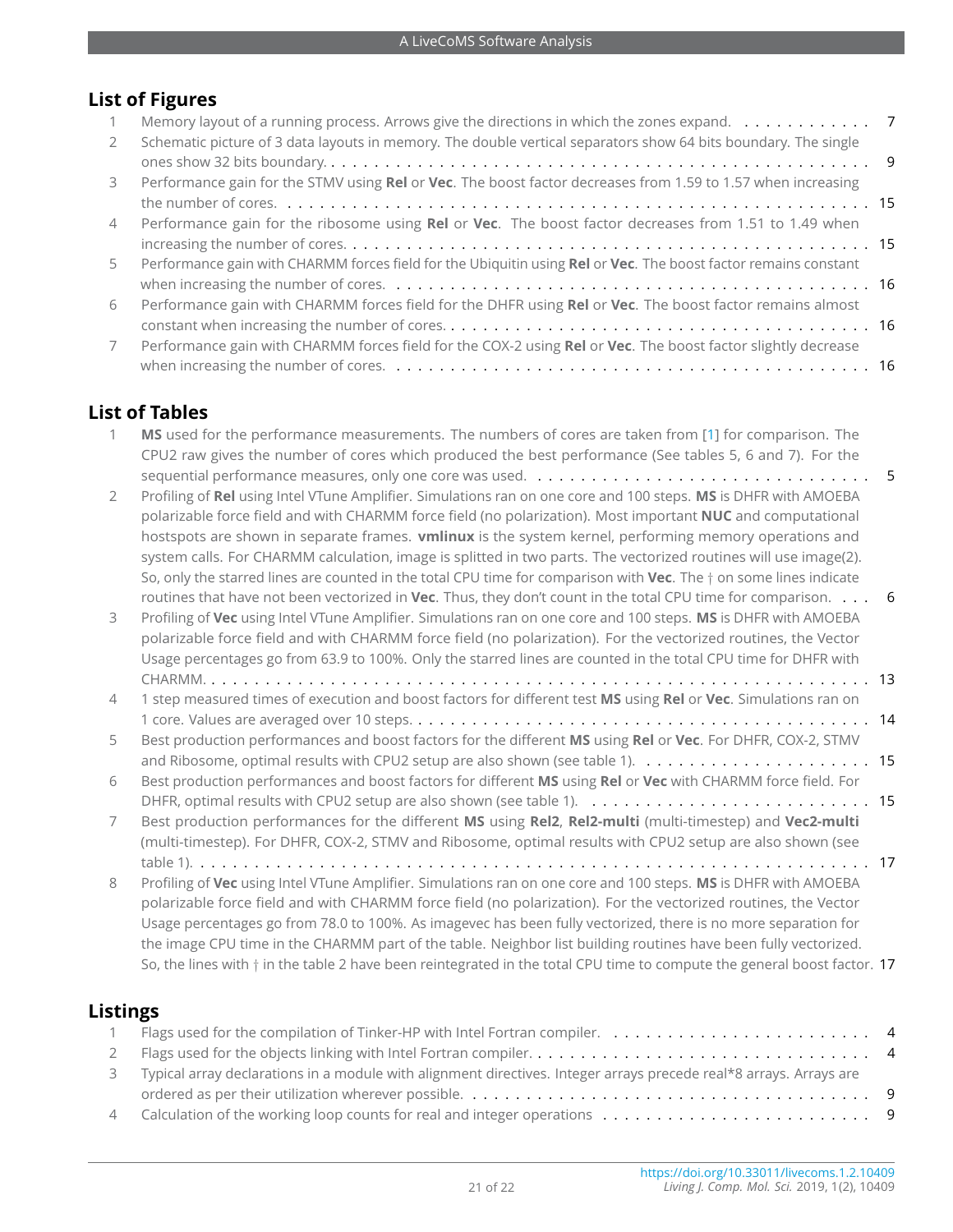# **List of Figures**

|                | Memory layout of a running process. Arrows give the directions in which the zones expand. $\dots \dots \dots$   |  |
|----------------|-----------------------------------------------------------------------------------------------------------------|--|
| $\mathcal{P}$  | Schematic picture of 3 data layouts in memory. The double vertical separators show 64 bits boundary. The single |  |
|                |                                                                                                                 |  |
| $\mathcal{L}$  | Performance gain for the STMV using Rel or Vec. The boost factor decreases from 1.59 to 1.57 when increasing    |  |
|                |                                                                                                                 |  |
| $\overline{4}$ | Performance gain for the ribosome using Rel or Vec. The boost factor decreases from 1.51 to 1.49 when           |  |
|                |                                                                                                                 |  |
| 5              | Performance gain with CHARMM forces field for the Ubiquitin using Rel or Vec. The boost factor remains constant |  |
|                |                                                                                                                 |  |
| 6              | Performance gain with CHARMM forces field for the DHFR using Rel or Vec. The boost factor remains almost        |  |
|                |                                                                                                                 |  |
|                | Performance gain with CHARMM forces field for the COX-2 using Rel or Vec. The boost factor slightly decrease    |  |
|                |                                                                                                                 |  |

## **List of Tables**

| 1              | MS used for the performance measurements. The numbers of cores are taken from [1] for comparison. The<br>CPU2 raw gives the number of cores which produced the best performance (See tables 5, 6 and 7). For the                                                                                                                                                                                                                                                                                                                                                                                           |  |
|----------------|------------------------------------------------------------------------------------------------------------------------------------------------------------------------------------------------------------------------------------------------------------------------------------------------------------------------------------------------------------------------------------------------------------------------------------------------------------------------------------------------------------------------------------------------------------------------------------------------------------|--|
| 2              | Profiling of Rel using Intel VTune Amplifier. Simulations ran on one core and 100 steps. MS is DHFR with AMOEBA<br>polarizable force field and with CHARMM force field (no polarization). Most important NUC and computational<br>hostspots are shown in separate frames. vmlinux is the system kernel, performing memory operations and                                                                                                                                                                                                                                                                   |  |
| 3              | system calls. For CHARMM calculation, image is splitted in two parts. The vectorized routines will use image(2).<br>So, only the starred lines are counted in the total CPU time for comparison with Vec. The $\dagger$ on some lines indicate<br>routines that have not been vectorized in Vec. Thus, they don't count in the total CPU time for comparison. 6<br>Profiling of Vec using Intel VTune Amplifier. Simulations ran on one core and 100 steps. MS is DHFR with AMOEBA<br>polarizable force field and with CHARMM force field (no polarization). For the vectorized routines, the Vector       |  |
|                | Usage percentages go from 63.9 to 100%. Only the starred lines are counted in the total CPU time for DHFR with                                                                                                                                                                                                                                                                                                                                                                                                                                                                                             |  |
| $\overline{4}$ | 1 step measured times of execution and boost factors for different test MS using Rel or Vec. Simulations ran on                                                                                                                                                                                                                                                                                                                                                                                                                                                                                            |  |
|                |                                                                                                                                                                                                                                                                                                                                                                                                                                                                                                                                                                                                            |  |
| 5              | Best production performances and boost factors for the different MS using Rel or Vec. For DHFR, COX-2, STMV                                                                                                                                                                                                                                                                                                                                                                                                                                                                                                |  |
| 6              | Best production performances and boost factors for different MS using Rel or Vec with CHARMM force field. For                                                                                                                                                                                                                                                                                                                                                                                                                                                                                              |  |
| 7              | Best production performances for the different MS using Rel2, Rel2-multi (multi-timestep) and Vec2-multi<br>(multi-timestep). For DHFR, COX-2, STMV and Ribosome, optimal results with CPU2 setup are also shown (see                                                                                                                                                                                                                                                                                                                                                                                      |  |
|                |                                                                                                                                                                                                                                                                                                                                                                                                                                                                                                                                                                                                            |  |
| 8              | Profiling of Vec using Intel VTune Amplifier. Simulations ran on one core and 100 steps. MS is DHFR with AMOEBA<br>polarizable force field and with CHARMM force field (no polarization). For the vectorized routines, the Vector<br>Usage percentages go from 78.0 to 100%. As imagevec has been fully vectorized, there is no more separation for<br>the image CPU time in the CHARMM part of the table. Neighbor list building routines have been fully vectorized.<br>So, the lines with $\dagger$ in the table 2 have been reintegrated in the total CPU time to compute the general boost factor. 17 |  |

# **Listings**

| $\mathbf{1}$ |                                                                                                                      |  |
|--------------|----------------------------------------------------------------------------------------------------------------------|--|
| $\mathbf{2}$ |                                                                                                                      |  |
|              | 3 Typical array declarations in a module with alignment directives. Integer arrays precede real*8 arrays. Arrays are |  |
|              |                                                                                                                      |  |
|              |                                                                                                                      |  |